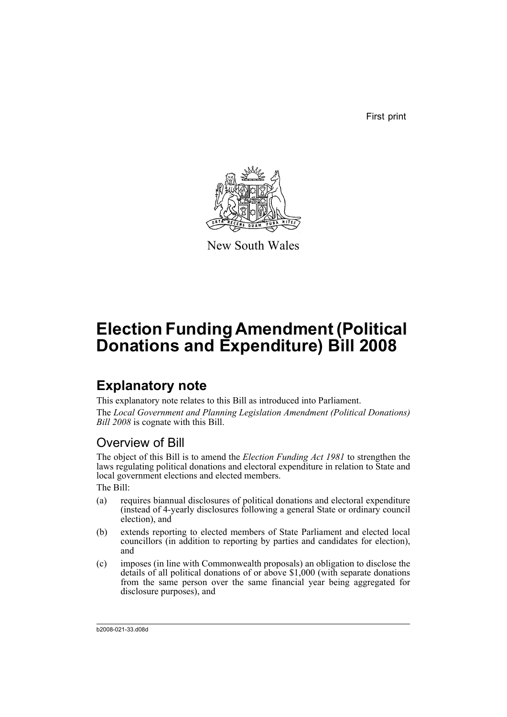First print



New South Wales

# **Election Funding Amendment (Political Donations and Expenditure) Bill 2008**

# **Explanatory note**

This explanatory note relates to this Bill as introduced into Parliament. The *Local Government and Planning Legislation Amendment (Political Donations) Bill 2008* is cognate with this Bill.

# Overview of Bill

The object of this Bill is to amend the *Election Funding Act 1981* to strengthen the laws regulating political donations and electoral expenditure in relation to State and local government elections and elected members.

The Bill:

- (a) requires biannual disclosures of political donations and electoral expenditure (instead of 4-yearly disclosures following a general State or ordinary council election), and
- (b) extends reporting to elected members of State Parliament and elected local councillors (in addition to reporting by parties and candidates for election), and
- (c) imposes (in line with Commonwealth proposals) an obligation to disclose the details of all political donations of or above \$1,000 (with separate donations from the same person over the same financial year being aggregated for disclosure purposes), and

b2008-021-33.d08d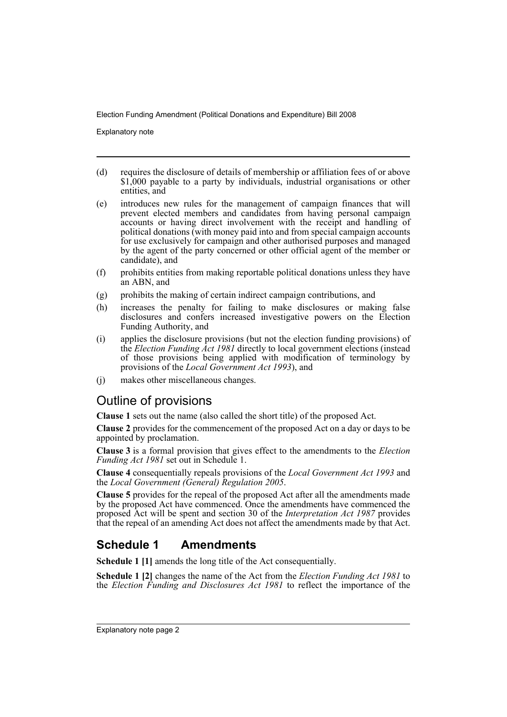Explanatory note

- (d) requires the disclosure of details of membership or affiliation fees of or above \$1,000 payable to a party by individuals, industrial organisations or other entities, and
- (e) introduces new rules for the management of campaign finances that will prevent elected members and candidates from having personal campaign accounts or having direct involvement with the receipt and handling of political donations (with money paid into and from special campaign accounts for use exclusively for campaign and other authorised purposes and managed by the agent of the party concerned or other official agent of the member or candidate), and
- (f) prohibits entities from making reportable political donations unless they have an ABN, and
- (g) prohibits the making of certain indirect campaign contributions, and
- (h) increases the penalty for failing to make disclosures or making false disclosures and confers increased investigative powers on the Election Funding Authority, and
- (i) applies the disclosure provisions (but not the election funding provisions) of the *Election Funding Act 1981* directly to local government elections (instead of those provisions being applied with modification of terminology by provisions of the *Local Government Act 1993*), and
- (j) makes other miscellaneous changes.

# Outline of provisions

**Clause 1** sets out the name (also called the short title) of the proposed Act.

**Clause 2** provides for the commencement of the proposed Act on a day or days to be appointed by proclamation.

**Clause 3** is a formal provision that gives effect to the amendments to the *Election Funding Act 1981* set out in Schedule 1.

**Clause 4** consequentially repeals provisions of the *Local Government Act 1993* and the *Local Government (General) Regulation 2005*.

**Clause 5** provides for the repeal of the proposed Act after all the amendments made by the proposed Act have commenced. Once the amendments have commenced the proposed Act will be spent and section 30 of the *Interpretation Act 1987* provides that the repeal of an amending Act does not affect the amendments made by that Act.

# **Schedule 1 Amendments**

**Schedule 1 [1]** amends the long title of the Act consequentially.

**Schedule 1 [2]** changes the name of the Act from the *Election Funding Act 1981* to the *Election Funding and Disclosures Act 1981* to reflect the importance of the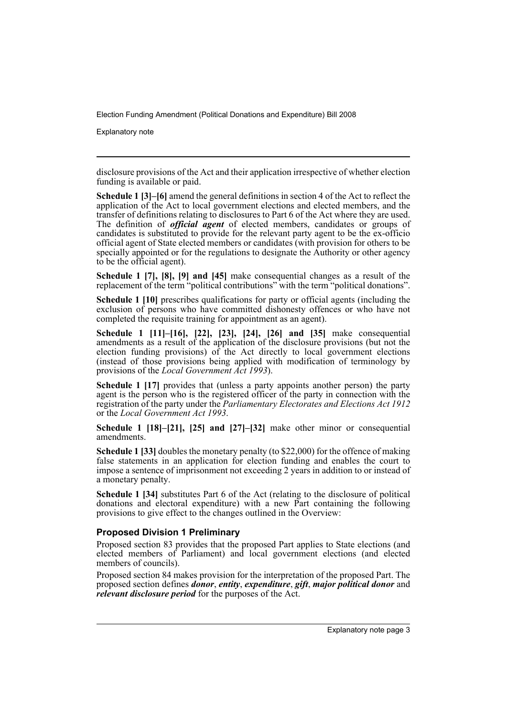Explanatory note

disclosure provisions of the Act and their application irrespective of whether election funding is available or paid.

**Schedule 1 [3]–[6]** amend the general definitions in section 4 of the Act to reflect the application of the Act to local government elections and elected members, and the transfer of definitions relating to disclosures to Part 6 of the Act where they are used. The definition of *official agent* of elected members, candidates or groups of candidates is substituted to provide for the relevant party agent to be the ex-officio official agent of State elected members or candidates (with provision for others to be specially appointed or for the regulations to designate the Authority or other agency to be the official agent).

**Schedule 1 [7], [8], [9] and [45]** make consequential changes as a result of the replacement of the term "political contributions" with the term "political donations".

**Schedule 1 [10]** prescribes qualifications for party or official agents (including the exclusion of persons who have committed dishonesty offences or who have not completed the requisite training for appointment as an agent).

**Schedule 1 [11]–[16], [22], [23], [24], [26] and [35]** make consequential amendments as a result of the application of the disclosure provisions (but not the election funding provisions) of the Act directly to local government elections (instead of those provisions being applied with modification of terminology by provisions of the *Local Government Act 1993*).

**Schedule 1 [17]** provides that (unless a party appoints another person) the party agent is the person who is the registered officer of the party in connection with the registration of the party under the *Parliamentary Electorates and Elections Act 1912* or the *Local Government Act 1993*.

**Schedule 1 [18]–[21], [25] and [27]–[32]** make other minor or consequential amendments.

**Schedule 1 [33]** doubles the monetary penalty (to \$22,000) for the offence of making false statements in an application for election funding and enables the court to impose a sentence of imprisonment not exceeding 2 years in addition to or instead of a monetary penalty.

**Schedule 1 [34]** substitutes Part 6 of the Act (relating to the disclosure of political donations and electoral expenditure) with a new Part containing the following provisions to give effect to the changes outlined in the Overview:

### **Proposed Division 1 Preliminary**

Proposed section 83 provides that the proposed Part applies to State elections (and elected members of Parliament) and local government elections (and elected members of councils).

Proposed section 84 makes provision for the interpretation of the proposed Part. The proposed section defines *donor*, *entity*, *expenditure*, *gift*, *major political donor* and *relevant disclosure period* for the purposes of the Act.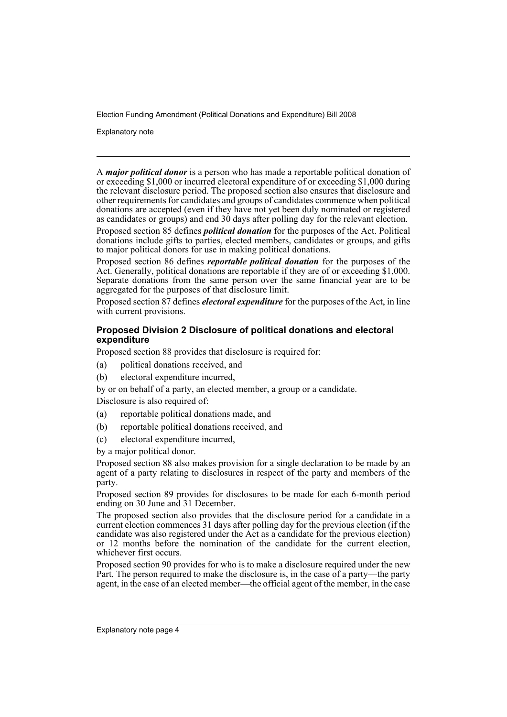Explanatory note

A *major political donor* is a person who has made a reportable political donation of or exceeding \$1,000 or incurred electoral expenditure of or exceeding \$1,000 during the relevant disclosure period. The proposed section also ensures that disclosure and other requirements for candidates and groups of candidates commence when political donations are accepted (even if they have not yet been duly nominated or registered as candidates or groups) and end 30 days after polling day for the relevant election.

Proposed section 85 defines *political donation* for the purposes of the Act. Political donations include gifts to parties, elected members, candidates or groups, and gifts to major political donors for use in making political donations.

Proposed section 86 defines *reportable political donation* for the purposes of the Act. Generally, political donations are reportable if they are of or exceeding \$1,000. Separate donations from the same person over the same financial year are to be aggregated for the purposes of that disclosure limit.

Proposed section 87 defines *electoral expenditure* for the purposes of the Act, in line with current provisions.

### **Proposed Division 2 Disclosure of political donations and electoral expenditure**

Proposed section 88 provides that disclosure is required for:

- (a) political donations received, and
- (b) electoral expenditure incurred,

by or on behalf of a party, an elected member, a group or a candidate. Disclosure is also required of:

- (a) reportable political donations made, and
- (b) reportable political donations received, and
- (c) electoral expenditure incurred,

by a major political donor.

Proposed section 88 also makes provision for a single declaration to be made by an agent of a party relating to disclosures in respect of the party and members of the party.

Proposed section 89 provides for disclosures to be made for each 6-month period ending on 30 June and 31 December.

The proposed section also provides that the disclosure period for a candidate in a current election commences 31 days after polling day for the previous election (if the candidate was also registered under the Act as a candidate for the previous election) or 12 months before the nomination of the candidate for the current election, whichever first occurs.

Proposed section 90 provides for who is to make a disclosure required under the new Part. The person required to make the disclosure is, in the case of a party—the party agent, in the case of an elected member—the official agent of the member, in the case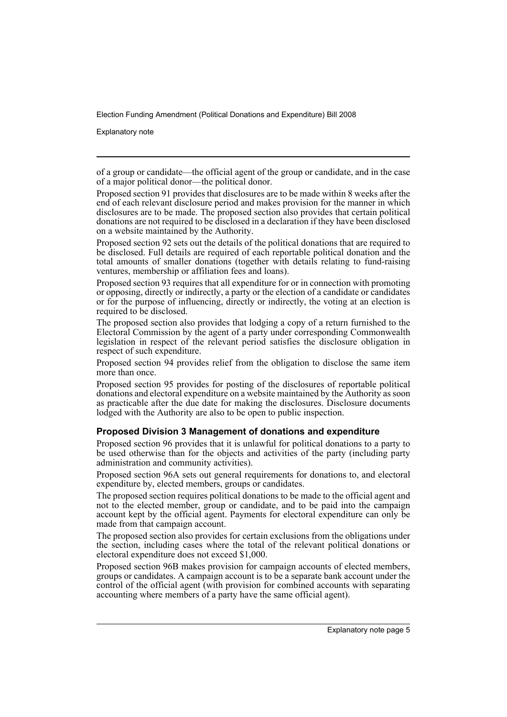Explanatory note

of a group or candidate—the official agent of the group or candidate, and in the case of a major political donor—the political donor.

Proposed section 91 provides that disclosures are to be made within 8 weeks after the end of each relevant disclosure period and makes provision for the manner in which disclosures are to be made. The proposed section also provides that certain political donations are not required to be disclosed in a declaration if they have been disclosed on a website maintained by the Authority.

Proposed section 92 sets out the details of the political donations that are required to be disclosed. Full details are required of each reportable political donation and the total amounts of smaller donations (together with details relating to fund-raising ventures, membership or affiliation fees and loans).

Proposed section 93 requires that all expenditure for or in connection with promoting or opposing, directly or indirectly, a party or the election of a candidate or candidates or for the purpose of influencing, directly or indirectly, the voting at an election is required to be disclosed.

The proposed section also provides that lodging a copy of a return furnished to the Electoral Commission by the agent of a party under corresponding Commonwealth legislation in respect of the relevant period satisfies the disclosure obligation in respect of such expenditure.

Proposed section 94 provides relief from the obligation to disclose the same item more than once.

Proposed section 95 provides for posting of the disclosures of reportable political donations and electoral expenditure on a website maintained by the Authority as soon as practicable after the due date for making the disclosures. Disclosure documents lodged with the Authority are also to be open to public inspection.

### **Proposed Division 3 Management of donations and expenditure**

Proposed section 96 provides that it is unlawful for political donations to a party to be used otherwise than for the objects and activities of the party (including party administration and community activities).

Proposed section 96A sets out general requirements for donations to, and electoral expenditure by, elected members, groups or candidates.

The proposed section requires political donations to be made to the official agent and not to the elected member, group or candidate, and to be paid into the campaign account kept by the official agent. Payments for electoral expenditure can only be made from that campaign account.

The proposed section also provides for certain exclusions from the obligations under the section, including cases where the total of the relevant political donations or electoral expenditure does not exceed \$1,000.

Proposed section 96B makes provision for campaign accounts of elected members, groups or candidates. A campaign account is to be a separate bank account under the control of the official agent (with provision for combined accounts with separating accounting where members of a party have the same official agent).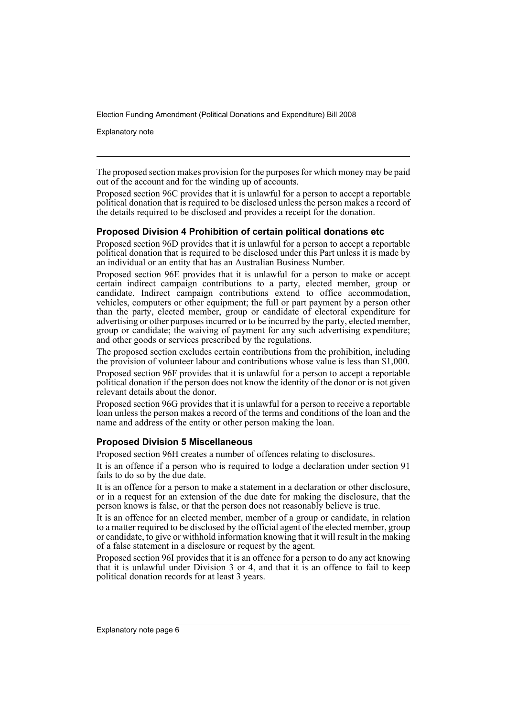Explanatory note

The proposed section makes provision for the purposes for which money may be paid out of the account and for the winding up of accounts.

Proposed section 96C provides that it is unlawful for a person to accept a reportable political donation that is required to be disclosed unless the person makes a record of the details required to be disclosed and provides a receipt for the donation.

## **Proposed Division 4 Prohibition of certain political donations etc**

Proposed section 96D provides that it is unlawful for a person to accept a reportable political donation that is required to be disclosed under this Part unless it is made by an individual or an entity that has an Australian Business Number.

Proposed section 96E provides that it is unlawful for a person to make or accept certain indirect campaign contributions to a party, elected member, group or candidate. Indirect campaign contributions extend to office accommodation, vehicles, computers or other equipment; the full or part payment by a person other than the party, elected member, group or candidate of electoral expenditure for advertising or other purposes incurred or to be incurred by the party, elected member, group or candidate; the waiving of payment for any such advertising expenditure; and other goods or services prescribed by the regulations.

The proposed section excludes certain contributions from the prohibition, including the provision of volunteer labour and contributions whose value is less than \$1,000.

Proposed section 96F provides that it is unlawful for a person to accept a reportable political donation if the person does not know the identity of the donor or is not given relevant details about the donor.

Proposed section 96G provides that it is unlawful for a person to receive a reportable loan unless the person makes a record of the terms and conditions of the loan and the name and address of the entity or other person making the loan.

### **Proposed Division 5 Miscellaneous**

Proposed section 96H creates a number of offences relating to disclosures.

It is an offence if a person who is required to lodge a declaration under section 91 fails to do so by the due date.

It is an offence for a person to make a statement in a declaration or other disclosure, or in a request for an extension of the due date for making the disclosure, that the person knows is false, or that the person does not reasonably believe is true.

It is an offence for an elected member, member of a group or candidate, in relation to a matter required to be disclosed by the official agent of the elected member, group or candidate, to give or withhold information knowing that it will result in the making of a false statement in a disclosure or request by the agent.

Proposed section 96I provides that it is an offence for a person to do any act knowing that it is unlawful under Division 3 or 4, and that it is an offence to fail to keep political donation records for at least 3 years.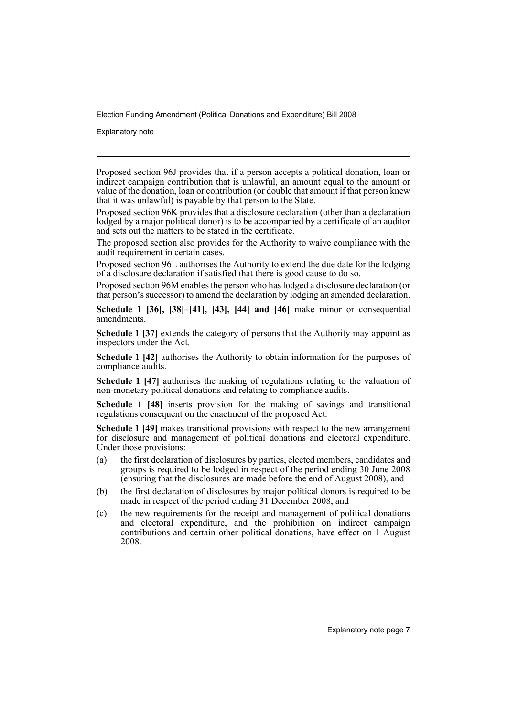Explanatory note

Proposed section 96J provides that if a person accepts a political donation, loan or indirect campaign contribution that is unlawful, an amount equal to the amount or value of the donation, loan or contribution (or double that amount if that person knew that it was unlawful) is payable by that person to the State.

Proposed section 96K provides that a disclosure declaration (other than a declaration lodged by a major political donor) is to be accompanied by a certificate of an auditor and sets out the matters to be stated in the certificate.

The proposed section also provides for the Authority to waive compliance with the audit requirement in certain cases.

Proposed section 96L authorises the Authority to extend the due date for the lodging of a disclosure declaration if satisfied that there is good cause to do so.

Proposed section 96M enables the person who has lodged a disclosure declaration (or that person's successor) to amend the declaration by lodging an amended declaration.

**Schedule 1 [36], [38]–[41], [43], [44] and [46]** make minor or consequential amendments.

**Schedule 1 [37]** extends the category of persons that the Authority may appoint as inspectors under the Act.

**Schedule 1 [42]** authorises the Authority to obtain information for the purposes of compliance audits.

**Schedule 1 [47]** authorises the making of regulations relating to the valuation of non-monetary political donations and relating to compliance audits.

**Schedule 1 [48]** inserts provision for the making of savings and transitional regulations consequent on the enactment of the proposed Act.

**Schedule 1 [49]** makes transitional provisions with respect to the new arrangement for disclosure and management of political donations and electoral expenditure. Under those provisions:

- (a) the first declaration of disclosures by parties, elected members, candidates and groups is required to be lodged in respect of the period ending 30 June 2008 (ensuring that the disclosures are made before the end of August 2008), and
- (b) the first declaration of disclosures by major political donors is required to be made in respect of the period ending 31 December 2008, and
- (c) the new requirements for the receipt and management of political donations and electoral expenditure, and the prohibition on indirect campaign contributions and certain other political donations, have effect on 1 August 2008.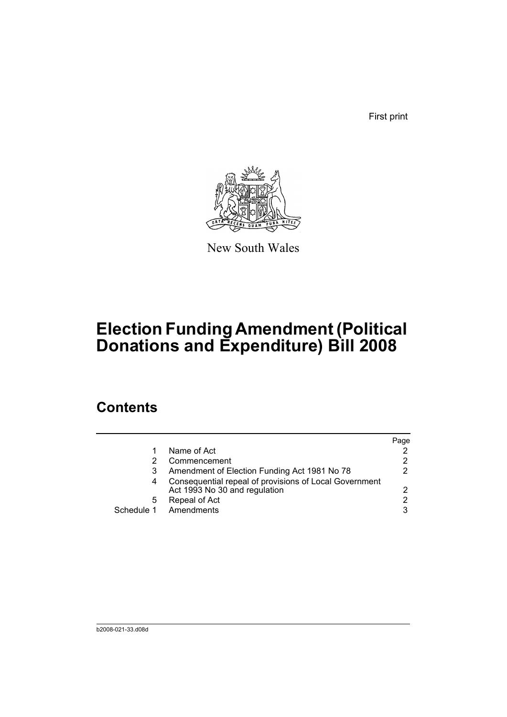First print



New South Wales

# **Election Funding Amendment (Political Donations and Expenditure) Bill 2008**

# **Contents**

|   |                                                                                         | Page |
|---|-----------------------------------------------------------------------------------------|------|
|   | Name of Act                                                                             |      |
|   | Commencement                                                                            | 2    |
|   | Amendment of Election Funding Act 1981 No 78                                            | 2    |
|   | Consequential repeal of provisions of Local Government<br>Act 1993 No 30 and regulation | 2    |
| 5 | Repeal of Act                                                                           | 2    |
|   | Schedule 1 Amendments                                                                   | 3    |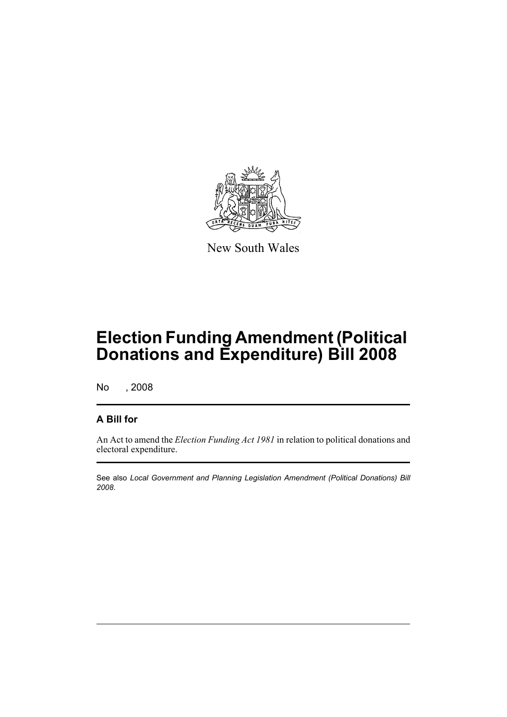

New South Wales

# **Election Funding Amendment (Political Donations and Expenditure) Bill 2008**

No , 2008

## **A Bill for**

An Act to amend the *Election Funding Act 1981* in relation to political donations and electoral expenditure.

See also *Local Government and Planning Legislation Amendment (Political Donations) Bill 2008*.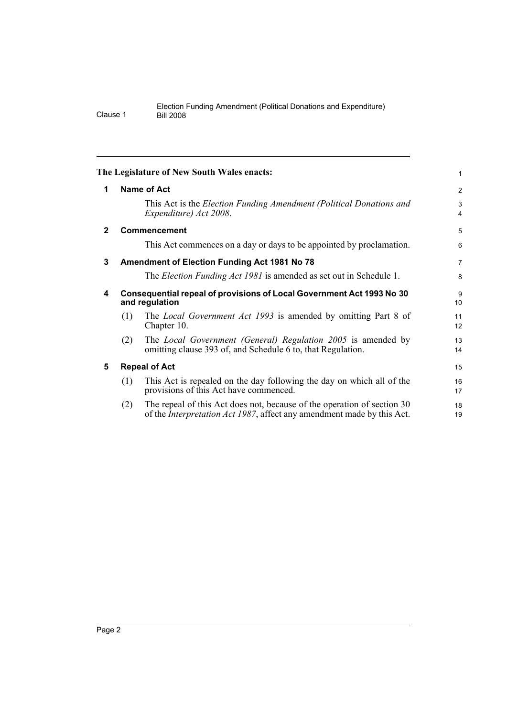<span id="page-11-4"></span><span id="page-11-3"></span><span id="page-11-2"></span><span id="page-11-1"></span><span id="page-11-0"></span>

|             |     | The Legislature of New South Wales enacts:                                                                                                                | 1              |
|-------------|-----|-----------------------------------------------------------------------------------------------------------------------------------------------------------|----------------|
| 1           |     | <b>Name of Act</b>                                                                                                                                        | $\overline{c}$ |
|             |     | This Act is the <i>Election Funding Amendment (Political Donations and</i><br>Expenditure) Act 2008.                                                      | 3<br>4         |
| $\mathbf 2$ |     | Commencement                                                                                                                                              | 5              |
|             |     | This Act commences on a day or days to be appointed by proclamation.                                                                                      | 6              |
| 3           |     | <b>Amendment of Election Funding Act 1981 No 78</b>                                                                                                       | 7              |
|             |     | The <i>Election Funding Act 1981</i> is amended as set out in Schedule 1.                                                                                 | 8              |
| 4           |     | Consequential repeal of provisions of Local Government Act 1993 No 30<br>and regulation                                                                   | 9<br>10        |
|             | (1) | The <i>Local Government Act 1993</i> is amended by omitting Part 8 of<br>Chapter 10.                                                                      | 11<br>12       |
|             | (2) | The <i>Local Government (General) Regulation 2005</i> is amended by<br>omitting clause 393 of, and Schedule 6 to, that Regulation.                        | 13<br>14       |
| 5           |     | <b>Repeal of Act</b>                                                                                                                                      | 15             |
|             | (1) | This Act is repealed on the day following the day on which all of the<br>provisions of this Act have commenced.                                           | 16<br>17       |
|             | (2) | The repeal of this Act does not, because of the operation of section 30<br>of the <i>Interpretation Act 1987</i> , affect any amendment made by this Act. | 18<br>19       |
|             |     |                                                                                                                                                           |                |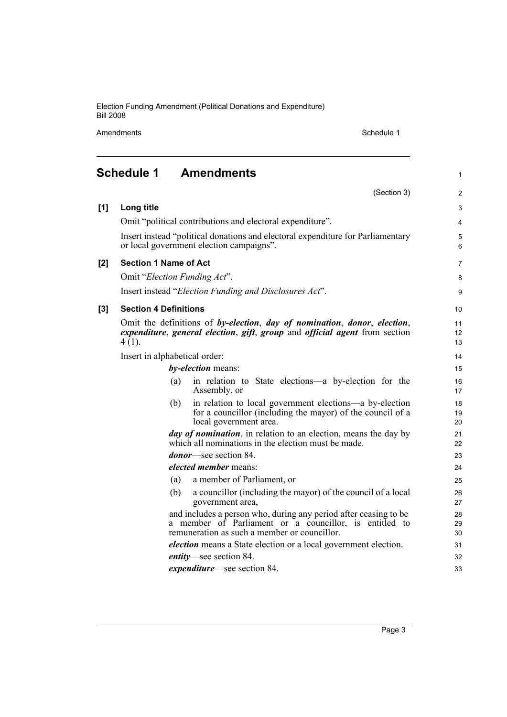Amendments Schedule 1

1

<span id="page-12-0"></span>

|     | (Section 3)                                                                                                                                                                | $\mathbf{2}$   |
|-----|----------------------------------------------------------------------------------------------------------------------------------------------------------------------------|----------------|
| [1] | Long title                                                                                                                                                                 | 3              |
|     | Omit "political contributions and electoral expenditure".                                                                                                                  | 4              |
|     | Insert instead "political donations and electoral expenditure for Parliamentary<br>or local government election campaigns".                                                | 5<br>6         |
| [2] | <b>Section 1 Name of Act</b>                                                                                                                                               | $\overline{7}$ |
|     | Omit "Election Funding Act".                                                                                                                                               | 8              |
|     | Insert instead "Election Funding and Disclosures Act".                                                                                                                     | 9              |
| [3] | <b>Section 4 Definitions</b>                                                                                                                                               | 10             |
|     | Omit the definitions of by-election, day of nomination, donor, election,<br>expenditure, general election, gift, group and official agent from section<br>$4(1)$ .         | 11<br>12<br>13 |
|     | Insert in alphabetical order:                                                                                                                                              | 14             |
|     | by-election means:                                                                                                                                                         | 15             |
|     | in relation to State elections—a by-election for the<br>(a)<br>Assembly, or                                                                                                | 16<br>17       |
|     | in relation to local government elections—a by-election<br>(b)<br>for a councillor (including the mayor) of the council of a<br>local government area.                     | 18<br>19<br>20 |
|     | <i>day of nomination</i> , in relation to an election, means the day by<br>which all nominations in the election must be made.                                             | 21<br>22       |
|     | <i>donor</i> —see section 84.                                                                                                                                              | 23             |
|     | <i>elected member</i> means:                                                                                                                                               | 24             |
|     | a member of Parliament, or<br>(a)                                                                                                                                          | 25             |
|     | a councillor (including the mayor) of the council of a local<br>(b)<br>government area,                                                                                    | 26<br>27       |
|     | and includes a person who, during any period after ceasing to be<br>a member of Parliament or a councillor, is entitled to<br>remuneration as such a member or councillor. | 28<br>29<br>30 |
|     | <i>election</i> means a State election or a local government election.                                                                                                     | 31             |
|     | <i>entity</i> —see section 84.                                                                                                                                             | 32             |
|     | <i>expenditure</i> —see section 84.                                                                                                                                        | 33             |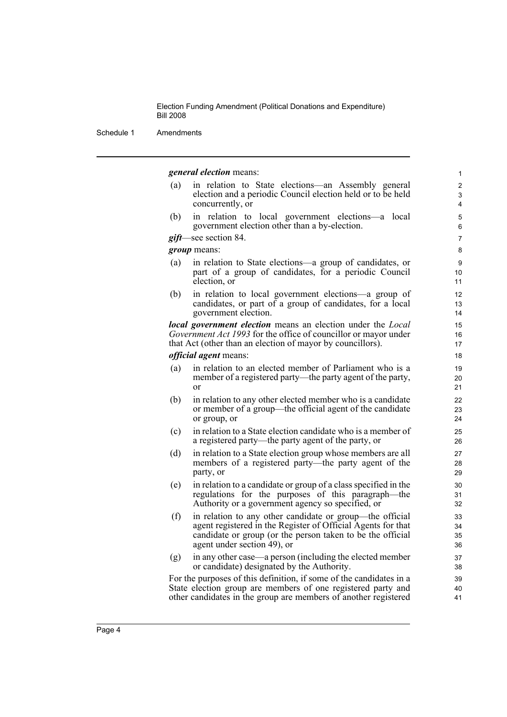Schedule 1 Amendments

#### *general election* means:

(a) in relation to State elections—an Assembly general election and a periodic Council election held or to be held concurrently, or

(b) in relation to local government elections—a local government election other than a by-election.

### *gift*—see section 84.

*group* means:

- (a) in relation to State elections—a group of candidates, or part of a group of candidates, for a periodic Council election, or
- (b) in relation to local government elections—a group of candidates, or part of a group of candidates, for a local government election.

*local government election* means an election under the *Local Government Act 1993* for the office of councillor or mayor under that Act (other than an election of mayor by councillors).

#### *official agent* means:

- (a) in relation to an elected member of Parliament who is a member of a registered party—the party agent of the party, or
- (b) in relation to any other elected member who is a candidate or member of a group—the official agent of the candidate or group, or
- (c) in relation to a State election candidate who is a member of a registered party—the party agent of the party, or
- (d) in relation to a State election group whose members are all members of a registered party—the party agent of the party, or
- (e) in relation to a candidate or group of a class specified in the regulations for the purposes of this paragraph—the Authority or a government agency so specified, or
- (f) in relation to any other candidate or group—the official agent registered in the Register of Official Agents for that candidate or group (or the person taken to be the official agent under section 49), or
- (g) in any other case—a person (including the elected member or candidate) designated by the Authority.

For the purposes of this definition, if some of the candidates in a State election group are members of one registered party and other candidates in the group are members of another registered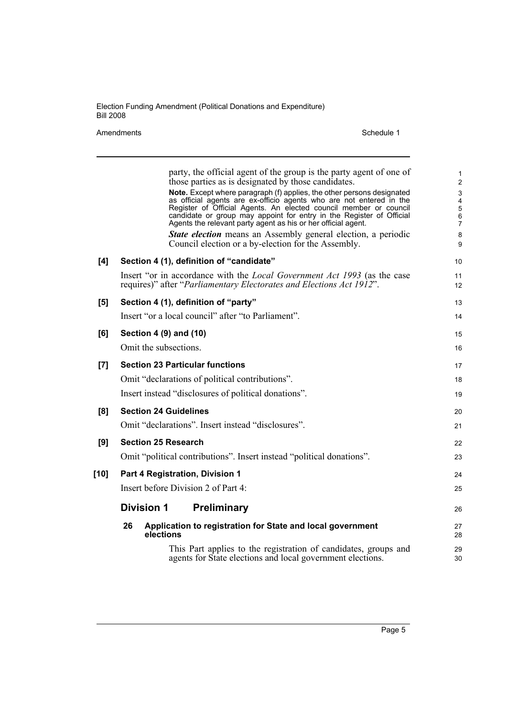Amendments Schedule 1

|      | party, the official agent of the group is the party agent of one of<br>those parties as is designated by those candidates.<br>Note. Except where paragraph (f) applies, the other persons designated<br>as official agents are ex-officio agents who are not entered in the<br>Register of Official Agents. An elected council member or council<br>candidate or group may appoint for entry in the Register of Official | 1<br>$\overline{c}$<br>$\mathsf 3$<br>4<br>$\mathbf 5$<br>$\,6\,$ |
|------|--------------------------------------------------------------------------------------------------------------------------------------------------------------------------------------------------------------------------------------------------------------------------------------------------------------------------------------------------------------------------------------------------------------------------|-------------------------------------------------------------------|
|      | Agents the relevant party agent as his or her official agent.<br>State election means an Assembly general election, a periodic<br>Council election or a by-election for the Assembly.                                                                                                                                                                                                                                    | $\overline{7}$<br>8<br>9                                          |
| [4]  | Section 4 (1), definition of "candidate"                                                                                                                                                                                                                                                                                                                                                                                 | 10                                                                |
|      | Insert "or in accordance with the <i>Local Government Act 1993</i> (as the case<br>requires)" after "Parliamentary Electorates and Elections Act 1912".                                                                                                                                                                                                                                                                  | 11<br>12                                                          |
| [5]  | Section 4 (1), definition of "party"                                                                                                                                                                                                                                                                                                                                                                                     | 13                                                                |
|      | Insert "or a local council" after "to Parliament".                                                                                                                                                                                                                                                                                                                                                                       | 14                                                                |
| [6]  | Section 4 (9) and (10)                                                                                                                                                                                                                                                                                                                                                                                                   | 15                                                                |
|      | Omit the subsections.                                                                                                                                                                                                                                                                                                                                                                                                    | 16                                                                |
| [7]  | <b>Section 23 Particular functions</b>                                                                                                                                                                                                                                                                                                                                                                                   | 17                                                                |
|      | Omit "declarations of political contributions".                                                                                                                                                                                                                                                                                                                                                                          | 18                                                                |
|      | Insert instead "disclosures of political donations".                                                                                                                                                                                                                                                                                                                                                                     | 19                                                                |
| [8]  | <b>Section 24 Guidelines</b>                                                                                                                                                                                                                                                                                                                                                                                             | 20                                                                |
|      | Omit "declarations". Insert instead "disclosures".                                                                                                                                                                                                                                                                                                                                                                       | 21                                                                |
| [9]  | <b>Section 25 Research</b>                                                                                                                                                                                                                                                                                                                                                                                               | 22                                                                |
|      | Omit "political contributions". Insert instead "political donations".                                                                                                                                                                                                                                                                                                                                                    | 23                                                                |
| [10] | Part 4 Registration, Division 1                                                                                                                                                                                                                                                                                                                                                                                          | 24                                                                |
|      | Insert before Division 2 of Part 4:                                                                                                                                                                                                                                                                                                                                                                                      | 25                                                                |
|      | <b>Division 1</b><br><b>Preliminary</b>                                                                                                                                                                                                                                                                                                                                                                                  | 26                                                                |
|      | 26<br>Application to registration for State and local government<br>elections                                                                                                                                                                                                                                                                                                                                            | 27<br>28                                                          |
|      | This Part applies to the registration of candidates, groups and<br>agents for State elections and local government elections.                                                                                                                                                                                                                                                                                            | 29<br>30                                                          |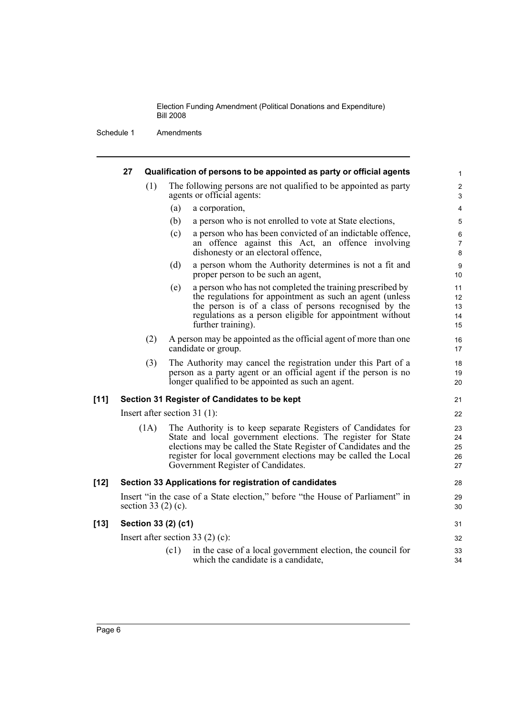|        | 27                       |      |      | Qualification of persons to be appointed as party or official agents                                                                                                                                                                                                                                       |  |
|--------|--------------------------|------|------|------------------------------------------------------------------------------------------------------------------------------------------------------------------------------------------------------------------------------------------------------------------------------------------------------------|--|
|        |                          | (1)  |      | The following persons are not qualified to be appointed as party<br>agents or official agents:                                                                                                                                                                                                             |  |
|        |                          |      | (a)  | a corporation,                                                                                                                                                                                                                                                                                             |  |
|        |                          |      | (b)  | a person who is not enrolled to vote at State elections,                                                                                                                                                                                                                                                   |  |
|        |                          |      | (c)  | a person who has been convicted of an indictable offence,<br>an offence against this Act, an offence involving<br>dishonesty or an electoral offence,                                                                                                                                                      |  |
|        |                          |      | (d)  | a person whom the Authority determines is not a fit and<br>proper person to be such an agent,                                                                                                                                                                                                              |  |
|        |                          |      | (e)  | a person who has not completed the training prescribed by<br>the regulations for appointment as such an agent (unless<br>the person is of a class of persons recognised by the<br>regulations as a person eligible for appointment without<br>further training).                                           |  |
|        |                          | (2)  |      | A person may be appointed as the official agent of more than one<br>candidate or group.                                                                                                                                                                                                                    |  |
|        |                          | (3)  |      | The Authority may cancel the registration under this Part of a<br>person as a party agent or an official agent if the person is no<br>longer qualified to be appointed as such an agent.                                                                                                                   |  |
| $[11]$ |                          |      |      | Section 31 Register of Candidates to be kept                                                                                                                                                                                                                                                               |  |
|        |                          |      |      | Insert after section $31(1)$ :                                                                                                                                                                                                                                                                             |  |
|        |                          | (1A) |      | The Authority is to keep separate Registers of Candidates for<br>State and local government elections. The register for State<br>elections may be called the State Register of Candidates and the<br>register for local government elections may be called the Local<br>Government Register of Candidates. |  |
| [12]   |                          |      |      | Section 33 Applications for registration of candidates                                                                                                                                                                                                                                                     |  |
|        | section 33 $(2)$ $(c)$ . |      |      | Insert "in the case of a State election," before "the House of Parliament" in                                                                                                                                                                                                                              |  |
| [13]   | Section 33 (2) (c1)      |      |      |                                                                                                                                                                                                                                                                                                            |  |
|        |                          |      |      | Insert after section 33 $(2)$ (c):                                                                                                                                                                                                                                                                         |  |
|        |                          |      | (c1) | in the case of a local government election, the council for<br>which the candidate is a candidate,                                                                                                                                                                                                         |  |
|        |                          |      |      |                                                                                                                                                                                                                                                                                                            |  |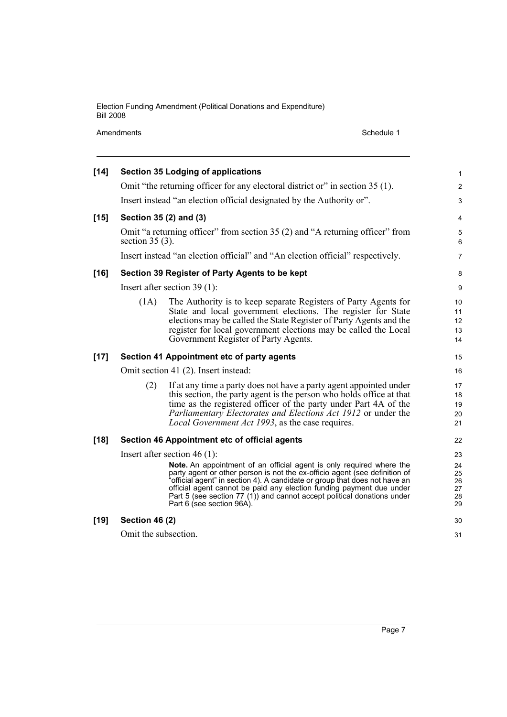Amendments Schedule 1

| $[14]$ |                       | <b>Section 35 Lodging of applications</b>                                                                                                                                                                                                                                                                                                                                                                        | $\mathbf{1}$                     |
|--------|-----------------------|------------------------------------------------------------------------------------------------------------------------------------------------------------------------------------------------------------------------------------------------------------------------------------------------------------------------------------------------------------------------------------------------------------------|----------------------------------|
|        |                       | Omit "the returning officer for any electoral district or" in section 35 (1).                                                                                                                                                                                                                                                                                                                                    | 2                                |
|        |                       | Insert instead "an election official designated by the Authority or".                                                                                                                                                                                                                                                                                                                                            | $\ensuremath{\mathsf{3}}$        |
| $[15]$ |                       | Section 35 (2) and (3)                                                                                                                                                                                                                                                                                                                                                                                           | 4                                |
|        | section $35(3)$ .     | Omit "a returning officer" from section 35 (2) and "A returning officer" from                                                                                                                                                                                                                                                                                                                                    | 5<br>6                           |
|        |                       | Insert instead "an election official" and "An election official" respectively.                                                                                                                                                                                                                                                                                                                                   | $\overline{7}$                   |
| $[16]$ |                       | Section 39 Register of Party Agents to be kept                                                                                                                                                                                                                                                                                                                                                                   | 8                                |
|        |                       | Insert after section $39(1)$ :                                                                                                                                                                                                                                                                                                                                                                                   | 9                                |
|        | (1A)                  | The Authority is to keep separate Registers of Party Agents for<br>State and local government elections. The register for State<br>elections may be called the State Register of Party Agents and the<br>register for local government elections may be called the Local<br>Government Register of Party Agents.                                                                                                 | 10<br>11<br>12<br>13<br>14       |
| $[17]$ |                       | Section 41 Appointment etc of party agents                                                                                                                                                                                                                                                                                                                                                                       | 15                               |
|        |                       | Omit section 41 (2). Insert instead:                                                                                                                                                                                                                                                                                                                                                                             | 16                               |
|        | (2)                   | If at any time a party does not have a party agent appointed under<br>this section, the party agent is the person who holds office at that<br>time as the registered officer of the party under Part 4A of the<br>Parliamentary Electorates and Elections Act 1912 or under the<br>Local Government Act 1993, as the case requires.                                                                              | 17<br>18<br>19<br>20<br>21       |
| $[18]$ |                       | Section 46 Appointment etc of official agents                                                                                                                                                                                                                                                                                                                                                                    | 22                               |
|        |                       | Insert after section $46(1)$ :                                                                                                                                                                                                                                                                                                                                                                                   | 23                               |
|        |                       | Note. An appointment of an official agent is only required where the<br>party agent or other person is not the ex-officio agent (see definition of<br>'official agent" in section 4). A candidate or group that does not have an<br>official agent cannot be paid any election funding payment due under<br>Part 5 (see section 77 (1)) and cannot accept political donations under<br>Part 6 (see section 96A). | 24<br>25<br>26<br>27<br>28<br>29 |
| $[19]$ | <b>Section 46 (2)</b> |                                                                                                                                                                                                                                                                                                                                                                                                                  | 30                               |
|        | Omit the subsection.  |                                                                                                                                                                                                                                                                                                                                                                                                                  | 31                               |
|        |                       |                                                                                                                                                                                                                                                                                                                                                                                                                  |                                  |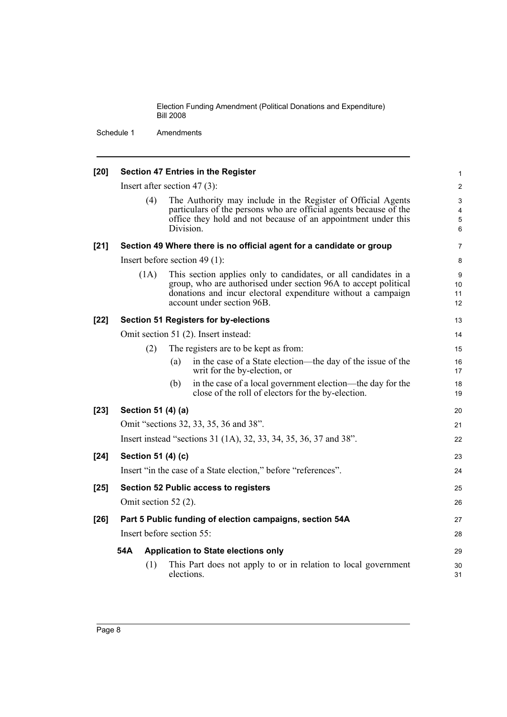| $[20]$ |                        | <b>Section 47 Entries in the Register</b>                                                                                                                                                                                        | $\mathbf{1}$                            |
|--------|------------------------|----------------------------------------------------------------------------------------------------------------------------------------------------------------------------------------------------------------------------------|-----------------------------------------|
|        |                        | Insert after section 47 $(3)$ :                                                                                                                                                                                                  | 2                                       |
|        | (4)                    | The Authority may include in the Register of Official Agents<br>particulars of the persons who are official agents because of the<br>office they hold and not because of an appointment under this<br>Division.                  | 3<br>$\overline{4}$<br>$\mathbf 5$<br>6 |
| $[21]$ |                        | Section 49 Where there is no official agent for a candidate or group                                                                                                                                                             | $\overline{7}$                          |
|        |                        | Insert before section 49 $(1)$ :                                                                                                                                                                                                 | 8                                       |
|        | (1A)                   | This section applies only to candidates, or all candidates in a<br>group, who are authorised under section 96A to accept political<br>donations and incur electoral expenditure without a campaign<br>account under section 96B. | 9<br>10<br>11<br>12                     |
| $[22]$ |                        | <b>Section 51 Registers for by-elections</b>                                                                                                                                                                                     | 13                                      |
|        |                        | Omit section 51 (2). Insert instead:                                                                                                                                                                                             | 14                                      |
|        | (2)                    | The registers are to be kept as from:                                                                                                                                                                                            | 15                                      |
|        |                        | in the case of a State election—the day of the issue of the<br>(a)<br>writ for the by-election, or                                                                                                                               | 16<br>17                                |
|        |                        | in the case of a local government election—the day for the<br>(b)<br>close of the roll of electors for the by-election.                                                                                                          | 18<br>19                                |
| $[23]$ | Section 51 (4) (a)     |                                                                                                                                                                                                                                  | 20                                      |
|        |                        | Omit "sections 32, 33, 35, 36 and 38".                                                                                                                                                                                           | 21                                      |
|        |                        | Insert instead "sections 31 (1A), 32, 33, 34, 35, 36, 37 and 38".                                                                                                                                                                | 22                                      |
| $[24]$ | Section 51 (4) (c)     |                                                                                                                                                                                                                                  | 23                                      |
|        |                        | Insert "in the case of a State election," before "references".                                                                                                                                                                   | 24                                      |
| $[25]$ |                        | <b>Section 52 Public access to registers</b>                                                                                                                                                                                     | 25                                      |
|        | Omit section $52(2)$ . |                                                                                                                                                                                                                                  | 26                                      |
| $[26]$ |                        | Part 5 Public funding of election campaigns, section 54A                                                                                                                                                                         | 27                                      |
|        |                        | Insert before section 55:                                                                                                                                                                                                        | 28                                      |
|        | 54A                    | <b>Application to State elections only</b>                                                                                                                                                                                       | 29                                      |
|        | (1)                    | This Part does not apply to or in relation to local government<br>elections.                                                                                                                                                     | 30<br>31                                |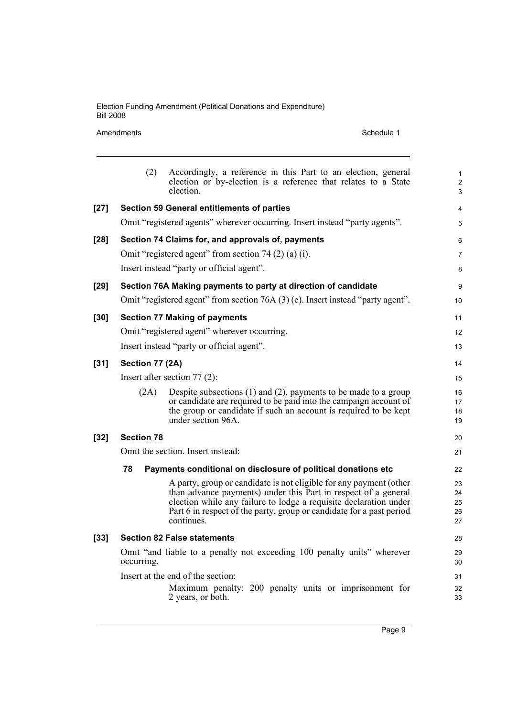### Amendments Schedule 1

|        | (2)               | Accordingly, a reference in this Part to an election, general<br>election or by-election is a reference that relates to a State<br>election.                                                                                                                                                    | $\mathbf{1}$<br>$\mathbf{2}$<br>$\mathfrak{S}$ |
|--------|-------------------|-------------------------------------------------------------------------------------------------------------------------------------------------------------------------------------------------------------------------------------------------------------------------------------------------|------------------------------------------------|
| $[27]$ |                   | <b>Section 59 General entitlements of parties</b>                                                                                                                                                                                                                                               | 4                                              |
|        |                   | Omit "registered agents" wherever occurring. Insert instead "party agents".                                                                                                                                                                                                                     | 5                                              |
| $[28]$ |                   | Section 74 Claims for, and approvals of, payments                                                                                                                                                                                                                                               | 6                                              |
|        |                   | Omit "registered agent" from section 74 $(2)$ $(a)$ $(i)$ .                                                                                                                                                                                                                                     | 7                                              |
|        |                   | Insert instead "party or official agent".                                                                                                                                                                                                                                                       | 8                                              |
| $[29]$ |                   | Section 76A Making payments to party at direction of candidate                                                                                                                                                                                                                                  | 9                                              |
|        |                   | Omit "registered agent" from section 76A (3) (c). Insert instead "party agent".                                                                                                                                                                                                                 | 10                                             |
| $[30]$ |                   | <b>Section 77 Making of payments</b>                                                                                                                                                                                                                                                            | 11                                             |
|        |                   | Omit "registered agent" wherever occurring.                                                                                                                                                                                                                                                     | 12                                             |
|        |                   | Insert instead "party or official agent".                                                                                                                                                                                                                                                       | 13                                             |
| $[31]$ | Section 77 (2A)   |                                                                                                                                                                                                                                                                                                 | 14                                             |
|        |                   | Insert after section $77(2)$ :                                                                                                                                                                                                                                                                  | 15                                             |
|        | (2A)              | Despite subsections $(1)$ and $(2)$ , payments to be made to a group<br>or candidate are required to be paid into the campaign account of<br>the group or candidate if such an account is required to be kept<br>under section 96A.                                                             | 16<br>17<br>18<br>19                           |
| $[32]$ | <b>Section 78</b> |                                                                                                                                                                                                                                                                                                 | 20                                             |
|        |                   | Omit the section. Insert instead:                                                                                                                                                                                                                                                               | 21                                             |
|        | 78                | Payments conditional on disclosure of political donations etc                                                                                                                                                                                                                                   | 22                                             |
|        |                   | A party, group or candidate is not eligible for any payment (other<br>than advance payments) under this Part in respect of a general<br>election while any failure to lodge a requisite declaration under<br>Part 6 in respect of the party, group or candidate for a past period<br>continues. | 23<br>24<br>25<br>26<br>27                     |
| $[33]$ |                   | <b>Section 82 False statements</b>                                                                                                                                                                                                                                                              | 28                                             |
|        | occurring.        | Omit "and liable to a penalty not exceeding 100 penalty units" wherever                                                                                                                                                                                                                         | 29<br>30                                       |
|        |                   | Insert at the end of the section:                                                                                                                                                                                                                                                               | 31                                             |
|        |                   | Maximum penalty: 200 penalty units or imprisonment for<br>2 years, or both.                                                                                                                                                                                                                     | 32<br>33                                       |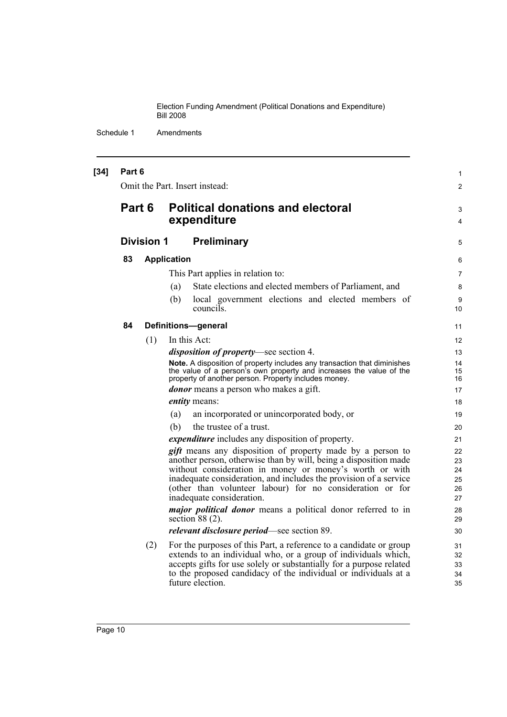| $[34]$ | Part 6 |                   | Omit the Part. Insert instead:                                                                                                                                                                                                                                                                                                                                                                                                                                                                                    | 1                                                  |
|--------|--------|-------------------|-------------------------------------------------------------------------------------------------------------------------------------------------------------------------------------------------------------------------------------------------------------------------------------------------------------------------------------------------------------------------------------------------------------------------------------------------------------------------------------------------------------------|----------------------------------------------------|
|        |        |                   |                                                                                                                                                                                                                                                                                                                                                                                                                                                                                                                   | $\overline{c}$                                     |
|        | Part 6 |                   | <b>Political donations and electoral</b><br>expenditure                                                                                                                                                                                                                                                                                                                                                                                                                                                           | 3<br>4                                             |
|        |        | <b>Division 1</b> | <b>Preliminary</b>                                                                                                                                                                                                                                                                                                                                                                                                                                                                                                | 5                                                  |
|        | 83     |                   | <b>Application</b>                                                                                                                                                                                                                                                                                                                                                                                                                                                                                                | 6                                                  |
|        |        |                   | This Part applies in relation to:                                                                                                                                                                                                                                                                                                                                                                                                                                                                                 | 7                                                  |
|        |        |                   | State elections and elected members of Parliament, and<br>(a)                                                                                                                                                                                                                                                                                                                                                                                                                                                     | 8                                                  |
|        |        |                   | local government elections and elected members of<br>(b)<br>councils.                                                                                                                                                                                                                                                                                                                                                                                                                                             | 9<br>10                                            |
|        | 84     |                   | <b>Definitions-general</b>                                                                                                                                                                                                                                                                                                                                                                                                                                                                                        | 11                                                 |
|        |        | (1)               | In this Act:                                                                                                                                                                                                                                                                                                                                                                                                                                                                                                      | 12                                                 |
|        |        |                   | <i>disposition of property</i> —see section 4.                                                                                                                                                                                                                                                                                                                                                                                                                                                                    | 13                                                 |
|        |        |                   | Note. A disposition of property includes any transaction that diminishes<br>the value of a person's own property and increases the value of the<br>property of another person. Property includes money.                                                                                                                                                                                                                                                                                                           | 14<br>15<br>16                                     |
|        |        |                   | <b><i>donor</i></b> means a person who makes a gift.                                                                                                                                                                                                                                                                                                                                                                                                                                                              | 17                                                 |
|        |        |                   | <i>entity</i> means:                                                                                                                                                                                                                                                                                                                                                                                                                                                                                              | 18                                                 |
|        |        |                   | an incorporated or unincorporated body, or<br>(a)                                                                                                                                                                                                                                                                                                                                                                                                                                                                 | 19                                                 |
|        |        |                   | the trustee of a trust.<br>(b)                                                                                                                                                                                                                                                                                                                                                                                                                                                                                    | 20                                                 |
|        |        |                   | <i>expenditure</i> includes any disposition of property.                                                                                                                                                                                                                                                                                                                                                                                                                                                          | 21                                                 |
|        |        |                   | <i>gift</i> means any disposition of property made by a person to<br>another person, otherwise than by will, being a disposition made<br>without consideration in money or money's worth or with<br>inadequate consideration, and includes the provision of a service<br>(other than volunteer labour) for no consideration or for<br>inadequate consideration.<br><i>major political donor</i> means a political donor referred to in<br>section $88(2)$ .<br><i>relevant disclosure period</i> —see section 89. | 22<br>23<br>24<br>25<br>26<br>27<br>28<br>29<br>30 |
|        |        | (2)               | For the purposes of this Part, a reference to a candidate or group<br>extends to an individual who, or a group of individuals which,<br>accepts gifts for use solely or substantially for a purpose related<br>to the proposed candidacy of the individual or individuals at a<br>future election.                                                                                                                                                                                                                | 31<br>32<br>33<br>34<br>35                         |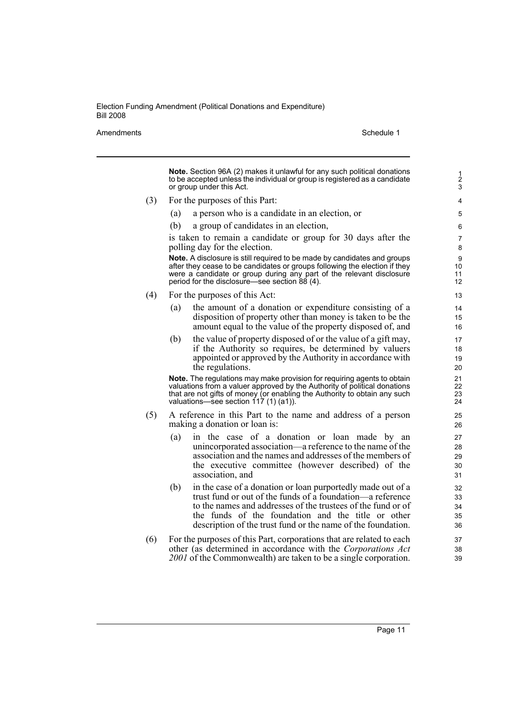Amendments **Amendments** Schedule 1

**Note.** Section 96A (2) makes it unlawful for any such political donations to be accepted unless the individual or group is registered as a candidate or group under this Act. (3) For the purposes of this Part: (a) a person who is a candidate in an election, or (b) a group of candidates in an election, is taken to remain a candidate or group for 30 days after the polling day for the election. **Note.** A disclosure is still required to be made by candidates and groups after they cease to be candidates or groups following the election if they were a candidate or group during any part of the relevant disclosure period for the disclosure—see section 88 (4). (4) For the purposes of this Act: (a) the amount of a donation or expenditure consisting of a disposition of property other than money is taken to be the amount equal to the value of the property disposed of, and (b) the value of property disposed of or the value of a gift may, if the Authority so requires, be determined by valuers appointed or approved by the Authority in accordance with the regulations. **Note.** The regulations may make provision for requiring agents to obtain valuations from a valuer approved by the Authority of political donations that are not gifts of money (or enabling the Authority to obtain any such valuations—see section 117 (1) (a1)). (5) A reference in this Part to the name and address of a person making a donation or loan is: (a) in the case of a donation or loan made by an unincorporated association—a reference to the name of the association and the names and addresses of the members of the executive committee (however described) of the association, and (b) in the case of a donation or loan purportedly made out of a trust fund or out of the funds of a foundation—a reference to the names and addresses of the trustees of the fund or of the funds of the foundation and the title or other description of the trust fund or the name of the foundation. (6) For the purposes of this Part, corporations that are related to each other (as determined in accordance with the *Corporations Act 2001* of the Commonwealth) are taken to be a single corporation. 1 2 3 4 5 6 7 8 9 10 11 12 13 14 15 16 17 18 19 20 21 22 23 24 25 26 27 28 29 30 31 32 33 34 35 36 37 38 39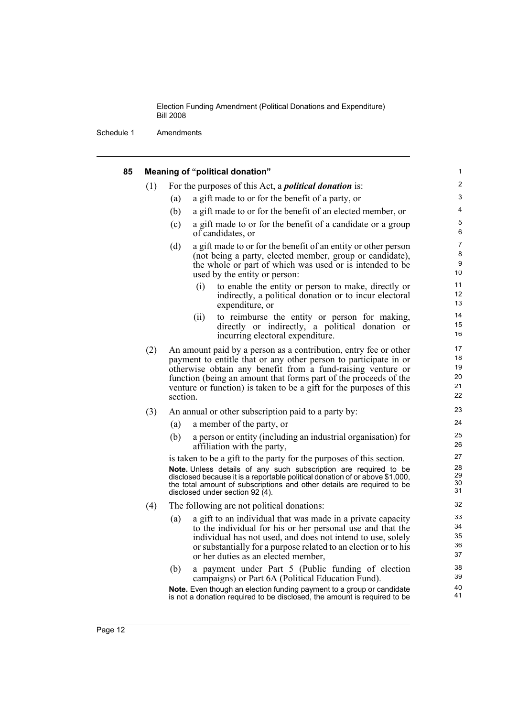| 85 |     | Meaning of "political donation"                                                                                                                                                                                                                                                                                                                            | 1                                |
|----|-----|------------------------------------------------------------------------------------------------------------------------------------------------------------------------------------------------------------------------------------------------------------------------------------------------------------------------------------------------------------|----------------------------------|
|    | (1) | For the purposes of this Act, a <i>political donation</i> is:                                                                                                                                                                                                                                                                                              | $\overline{2}$                   |
|    |     | a gift made to or for the benefit of a party, or<br>(a)                                                                                                                                                                                                                                                                                                    | 3                                |
|    |     | (b)<br>a gift made to or for the benefit of an elected member, or                                                                                                                                                                                                                                                                                          | 4                                |
|    |     | a gift made to or for the benefit of a candidate or a group<br>(c)<br>of candidates, or                                                                                                                                                                                                                                                                    | 5<br>6                           |
|    |     | a gift made to or for the benefit of an entity or other person<br>(d)<br>(not being a party, elected member, group or candidate),<br>the whole or part of which was used or is intended to be<br>used by the entity or person:                                                                                                                             | $\overline{7}$<br>8<br>9<br>10   |
|    |     | (i)<br>to enable the entity or person to make, directly or<br>indirectly, a political donation or to incur electoral<br>expenditure, or                                                                                                                                                                                                                    | 11<br>12<br>13                   |
|    |     | (ii)<br>to reimburse the entity or person for making,<br>directly or indirectly, a political donation or<br>incurring electoral expenditure.                                                                                                                                                                                                               | 14<br>15<br>16                   |
|    | (2) | An amount paid by a person as a contribution, entry fee or other<br>payment to entitle that or any other person to participate in or<br>otherwise obtain any benefit from a fund-raising venture or<br>function (being an amount that forms part of the proceeds of the<br>venture or function) is taken to be a gift for the purposes of this<br>section. | 17<br>18<br>19<br>20<br>21<br>22 |
|    | (3) | An annual or other subscription paid to a party by:                                                                                                                                                                                                                                                                                                        | 23                               |
|    |     | a member of the party, or<br>(a)                                                                                                                                                                                                                                                                                                                           | 24                               |
|    |     | (b)<br>a person or entity (including an industrial organisation) for<br>affiliation with the party,                                                                                                                                                                                                                                                        | 25<br>26                         |
|    |     | is taken to be a gift to the party for the purposes of this section.                                                                                                                                                                                                                                                                                       | 27                               |
|    |     | Note. Unless details of any such subscription are required to be<br>disclosed because it is a reportable political donation of or above \$1,000,<br>the total amount of subscriptions and other details are required to be<br>disclosed under section 92 (4).                                                                                              | 28<br>29<br>30<br>31             |
|    | (4) | The following are not political donations:                                                                                                                                                                                                                                                                                                                 | 32                               |
|    |     | a gift to an individual that was made in a private capacity<br>(a)<br>to the individual for his or her personal use and that the<br>individual has not used, and does not intend to use, solely<br>or substantially for a purpose related to an election or to his<br>or her duties as an elected member,                                                  | 33<br>34<br>35<br>36<br>37       |
|    |     | a payment under Part 5 (Public funding of election<br>(b)<br>campaigns) or Part 6A (Political Education Fund).                                                                                                                                                                                                                                             | 38<br>39                         |
|    |     | Note. Even though an election funding payment to a group or candidate<br>is not a donation required to be disclosed, the amount is required to be                                                                                                                                                                                                          | 40<br>41                         |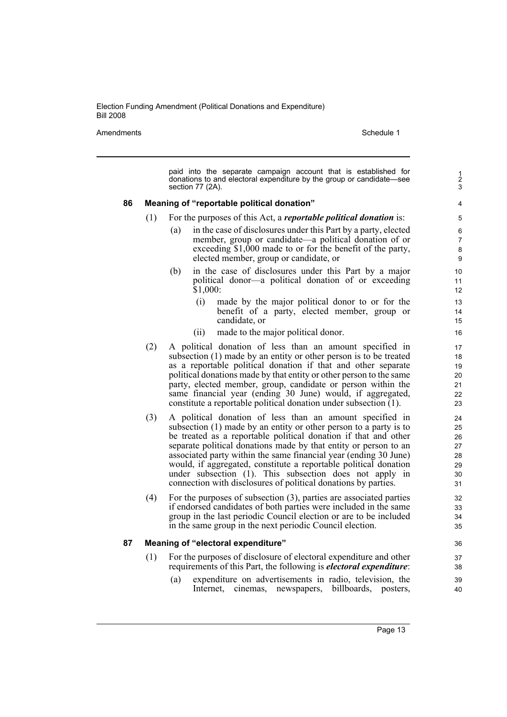Amendments Schedule 1

|    |     | paid into the separate campaign account that is established for<br>donations to and electoral expenditure by the group or candidate—see<br>section 77 (2A). |  |
|----|-----|-------------------------------------------------------------------------------------------------------------------------------------------------------------|--|
| 86 |     | Meaning of "reportable political donation"                                                                                                                  |  |
|    | (1) | For the purposes of this Act, a <i>reportable political donation</i> is:                                                                                    |  |
|    |     | in the case of disclosures under this Part by a party, elected<br>(a)                                                                                       |  |
|    |     | member, group or candidate—a political donation of or                                                                                                       |  |
|    |     | exceeding \$1,000 made to or for the benefit of the party,                                                                                                  |  |
|    |     | elected member, group or candidate, or                                                                                                                      |  |
|    |     | in the case of disclosures under this Part by a major<br>(b)                                                                                                |  |
|    |     | political donor—a political donation of or exceeding<br>\$1,000:                                                                                            |  |
|    |     |                                                                                                                                                             |  |
|    |     | (i)<br>made by the major political donor to or for the<br>benefit of a party, elected member, group or                                                      |  |
|    |     | candidate, or                                                                                                                                               |  |
|    |     | made to the major political donor.<br>(ii)                                                                                                                  |  |
|    | (2) | A political donation of less than an amount specified in                                                                                                    |  |
|    |     | subsection (1) made by an entity or other person is to be treated                                                                                           |  |
|    |     | as a reportable political donation if that and other separate                                                                                               |  |
|    |     | political donations made by that entity or other person to the same                                                                                         |  |
|    |     | party, elected member, group, candidate or person within the<br>same financial year (ending 30 June) would, if aggregated,                                  |  |
|    |     | constitute a reportable political donation under subsection (1).                                                                                            |  |
|    | (3) | A political donation of less than an amount specified in                                                                                                    |  |
|    |     | subsection (1) made by an entity or other person to a party is to                                                                                           |  |
|    |     | be treated as a reportable political donation if that and other                                                                                             |  |
|    |     | separate political donations made by that entity or person to an                                                                                            |  |
|    |     | associated party within the same financial year (ending 30 June)<br>would, if aggregated, constitute a reportable political donation                        |  |
|    |     | under subsection (1). This subsection does not apply in                                                                                                     |  |
|    |     | connection with disclosures of political donations by parties.                                                                                              |  |
|    | (4) | For the purposes of subsection $(3)$ , parties are associated parties                                                                                       |  |
|    |     | if endorsed candidates of both parties were included in the same                                                                                            |  |
|    |     | group in the last periodic Council election or are to be included                                                                                           |  |
|    |     | in the same group in the next periodic Council election.                                                                                                    |  |
| 87 |     | Meaning of "electoral expenditure"                                                                                                                          |  |
|    | (1) | For the purposes of disclosure of electoral expenditure and other                                                                                           |  |
|    |     | requirements of this Part, the following is <i>electoral expenditure</i> :                                                                                  |  |
|    |     | (a)<br>expenditure on advertisements in radio, television, the                                                                                              |  |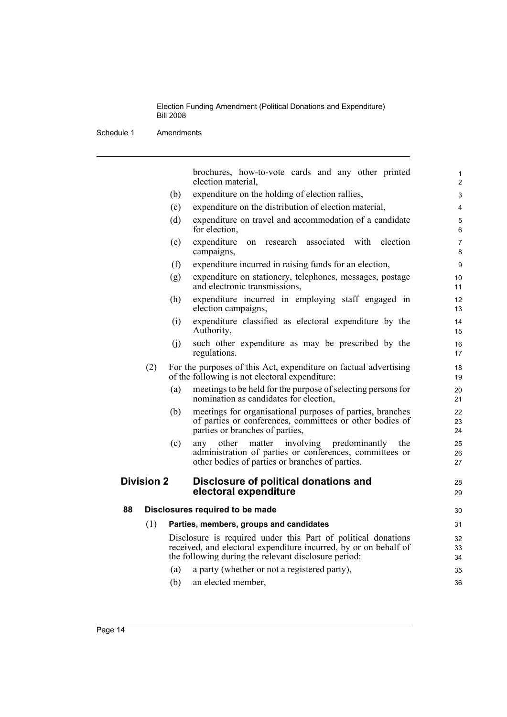|                   |     | brochures, how-to-vote cards and any other printed<br>election material,                                                                                                                  |
|-------------------|-----|-------------------------------------------------------------------------------------------------------------------------------------------------------------------------------------------|
|                   | (b) | expenditure on the holding of election rallies,                                                                                                                                           |
|                   | (c) | expenditure on the distribution of election material,                                                                                                                                     |
|                   | (d) | expenditure on travel and accommodation of a candidate<br>for election,                                                                                                                   |
|                   | (e) | associated with<br>expenditure<br>research<br>election<br>on<br>campaigns,                                                                                                                |
|                   | (f) | expenditure incurred in raising funds for an election,                                                                                                                                    |
|                   | (g) | expenditure on stationery, telephones, messages, postage<br>and electronic transmissions,                                                                                                 |
|                   | (h) | expenditure incurred in employing staff engaged in<br>election campaigns,                                                                                                                 |
|                   | (i) | expenditure classified as electoral expenditure by the<br>Authority,                                                                                                                      |
|                   | (j) | such other expenditure as may be prescribed by the<br>regulations.                                                                                                                        |
| (2)               |     | For the purposes of this Act, expenditure on factual advertising<br>of the following is not electoral expenditure:                                                                        |
|                   | (a) | meetings to be held for the purpose of selecting persons for<br>nomination as candidates for election.                                                                                    |
|                   | (b) | meetings for organisational purposes of parties, branches<br>of parties or conferences, committees or other bodies of<br>parties or branches of parties,                                  |
|                   | (c) | any other matter involving<br>predominantly<br>the<br>administration of parties or conferences, committees or<br>other bodies of parties or branches of parties.                          |
| <b>Division 2</b> |     | Disclosure of political donations and<br>electoral expenditure                                                                                                                            |
| 88                |     | Disclosures required to be made                                                                                                                                                           |
| (1)               |     | Parties, members, groups and candidates                                                                                                                                                   |
|                   |     | Disclosure is required under this Part of political donations<br>received, and electoral expenditure incurred, by or on behalf of<br>the following during the relevant disclosure period: |
|                   |     |                                                                                                                                                                                           |
|                   | (a) | a party (whether or not a registered party),                                                                                                                                              |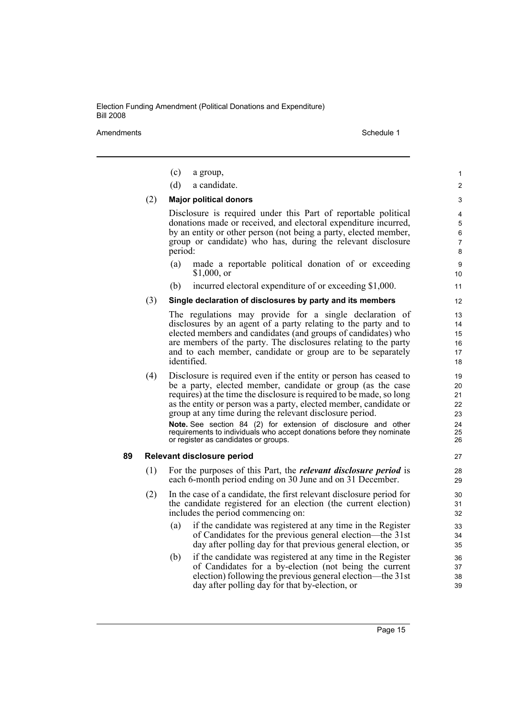Amendments Schedule 1

|    |     | (c)<br>a group,                                                                                                                                                                                                                                                                                                                                                                                                                                                                                                              | 1                                            |
|----|-----|------------------------------------------------------------------------------------------------------------------------------------------------------------------------------------------------------------------------------------------------------------------------------------------------------------------------------------------------------------------------------------------------------------------------------------------------------------------------------------------------------------------------------|----------------------------------------------|
|    |     | (d)<br>a candidate.                                                                                                                                                                                                                                                                                                                                                                                                                                                                                                          | 2                                            |
|    | (2) | <b>Major political donors</b>                                                                                                                                                                                                                                                                                                                                                                                                                                                                                                | 3                                            |
|    |     | Disclosure is required under this Part of reportable political<br>donations made or received, and electoral expenditure incurred,<br>by an entity or other person (not being a party, elected member,<br>group or candidate) who has, during the relevant disclosure<br>period:                                                                                                                                                                                                                                              | 4<br>5<br>6<br>$\overline{7}$<br>8           |
|    |     | (a)<br>made a reportable political donation of or exceeding<br>$$1,000$ , or                                                                                                                                                                                                                                                                                                                                                                                                                                                 | 9<br>10                                      |
|    |     | incurred electoral expenditure of or exceeding \$1,000.<br>(b)                                                                                                                                                                                                                                                                                                                                                                                                                                                               | 11                                           |
|    | (3) | Single declaration of disclosures by party and its members                                                                                                                                                                                                                                                                                                                                                                                                                                                                   | 12                                           |
|    |     | The regulations may provide for a single declaration of<br>disclosures by an agent of a party relating to the party and to<br>elected members and candidates (and groups of candidates) who<br>are members of the party. The disclosures relating to the party<br>and to each member, candidate or group are to be separately<br>identified.                                                                                                                                                                                 | 13<br>14<br>15<br>16<br>17<br>18             |
|    | (4) | Disclosure is required even if the entity or person has ceased to<br>be a party, elected member, candidate or group (as the case<br>requires) at the time the disclosure is required to be made, so long<br>as the entity or person was a party, elected member, candidate or<br>group at any time during the relevant disclosure period.<br>Note. See section 84 (2) for extension of disclosure and other<br>requirements to individuals who accept donations before they nominate<br>or register as candidates or groups. | 19<br>20<br>21<br>22<br>23<br>24<br>25<br>26 |
| 89 |     | Relevant disclosure period                                                                                                                                                                                                                                                                                                                                                                                                                                                                                                   | 27                                           |
|    | (1) | For the purposes of this Part, the <i>relevant disclosure period</i> is<br>each 6-month period ending on 30 June and on 31 December.                                                                                                                                                                                                                                                                                                                                                                                         | 28<br>29                                     |
|    | (2) | In the case of a candidate, the first relevant disclosure period for<br>the candidate registered for an election (the current election)<br>includes the period commencing on:                                                                                                                                                                                                                                                                                                                                                | 30<br>31<br>32                               |
|    |     | if the candidate was registered at any time in the Register<br>(a)<br>of Candidates for the previous general election—the 31st<br>day after polling day for that previous general election, or                                                                                                                                                                                                                                                                                                                               | 33<br>34<br>35                               |
|    |     | if the candidate was registered at any time in the Register<br>(b)<br>of Candidates for a by-election (not being the current<br>election) following the previous general election—the 31st<br>day after polling day for that by-election, or                                                                                                                                                                                                                                                                                 | 36<br>37<br>38<br>39                         |
|    |     |                                                                                                                                                                                                                                                                                                                                                                                                                                                                                                                              |                                              |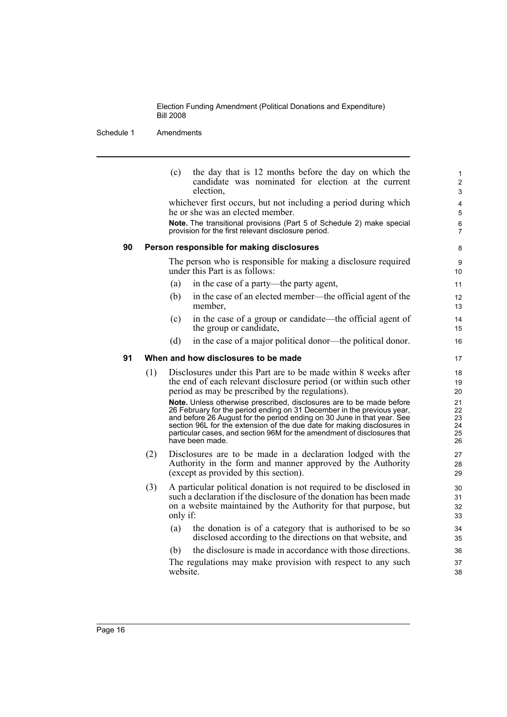Schedule 1 Amendments

|    |     | (c)      | the day that is 12 months before the day on which the<br>candidate was nominated for election at the current<br>election.                                                                                                                                                                                                                                                                          | 1<br>$\overline{c}$<br>3         |
|----|-----|----------|----------------------------------------------------------------------------------------------------------------------------------------------------------------------------------------------------------------------------------------------------------------------------------------------------------------------------------------------------------------------------------------------------|----------------------------------|
|    |     |          | whichever first occurs, but not including a period during which<br>he or she was an elected member.                                                                                                                                                                                                                                                                                                | 4<br>5                           |
|    |     |          | Note. The transitional provisions (Part 5 of Schedule 2) make special<br>provision for the first relevant disclosure period.                                                                                                                                                                                                                                                                       | 6<br>7                           |
| 90 |     |          | Person responsible for making disclosures                                                                                                                                                                                                                                                                                                                                                          | 8                                |
|    |     |          | The person who is responsible for making a disclosure required<br>under this Part is as follows:                                                                                                                                                                                                                                                                                                   | 9<br>10                          |
|    |     | (a)      | in the case of a party—the party agent,                                                                                                                                                                                                                                                                                                                                                            | 11                               |
|    |     | (b)      | in the case of an elected member—the official agent of the<br>member,                                                                                                                                                                                                                                                                                                                              | 12<br>13                         |
|    |     | (c)      | in the case of a group or candidate—the official agent of<br>the group or candidate,                                                                                                                                                                                                                                                                                                               | 14<br>15                         |
|    |     | (d)      | in the case of a major political donor—the political donor.                                                                                                                                                                                                                                                                                                                                        | 16                               |
| 91 |     |          | When and how disclosures to be made                                                                                                                                                                                                                                                                                                                                                                | 17                               |
|    | (1) |          | Disclosures under this Part are to be made within 8 weeks after<br>the end of each relevant disclosure period (or within such other<br>period as may be prescribed by the regulations).                                                                                                                                                                                                            | 18<br>19<br>20                   |
|    |     |          | Note. Unless otherwise prescribed, disclosures are to be made before<br>26 February for the period ending on 31 December in the previous year,<br>and before 26 August for the period ending on 30 June in that year. See<br>section 96L for the extension of the due date for making disclosures in<br>particular cases, and section 96M for the amendment of disclosures that<br>have been made. | 21<br>22<br>23<br>24<br>25<br>26 |
|    | (2) |          | Disclosures are to be made in a declaration lodged with the<br>Authority in the form and manner approved by the Authority<br>(except as provided by this section).                                                                                                                                                                                                                                 | 27<br>28<br>29                   |
|    | (3) | only if: | A particular political donation is not required to be disclosed in<br>such a declaration if the disclosure of the donation has been made<br>on a website maintained by the Authority for that purpose, but                                                                                                                                                                                         | 30<br>31<br>32<br>33             |
|    |     | (a)      | the donation is of a category that is authorised to be so<br>disclosed according to the directions on that website, and                                                                                                                                                                                                                                                                            | 34<br>35                         |
|    |     | (b)      | the disclosure is made in accordance with those directions.                                                                                                                                                                                                                                                                                                                                        | 36                               |
|    |     | website. | The regulations may make provision with respect to any such                                                                                                                                                                                                                                                                                                                                        | 37<br>38                         |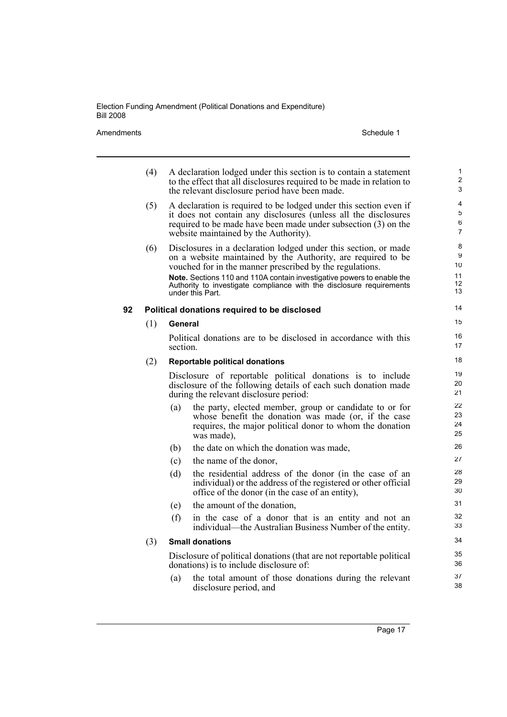Amendments Schedule 1

|    | (4) |          | A declaration lodged under this section is to contain a statement<br>to the effect that all disclosures required to be made in relation to<br>the relevant disclosure period have been made.                                                                          | $\mathbf{1}$<br>$\overline{2}$<br>3 |
|----|-----|----------|-----------------------------------------------------------------------------------------------------------------------------------------------------------------------------------------------------------------------------------------------------------------------|-------------------------------------|
|    | (5) |          | A declaration is required to be lodged under this section even if<br>it does not contain any disclosures (unless all the disclosures<br>required to be made have been made under subsection (3) on the<br>website maintained by the Authority).                       | 4<br>5<br>6<br>$\overline{7}$       |
|    | (6) |          | Disclosures in a declaration lodged under this section, or made<br>on a website maintained by the Authority, are required to be<br>vouched for in the manner prescribed by the regulations.<br>Note. Sections 110 and 110A contain investigative powers to enable the | 8<br>9<br>10<br>11                  |
|    |     |          | Authority to investigate compliance with the disclosure requirements<br>under this Part.                                                                                                                                                                              | 12<br>13                            |
| 92 |     |          | Political donations required to be disclosed                                                                                                                                                                                                                          | 14                                  |
|    | (1) | General  |                                                                                                                                                                                                                                                                       | 15                                  |
|    |     | section. | Political donations are to be disclosed in accordance with this                                                                                                                                                                                                       | 16<br>17                            |
|    | (2) |          | <b>Reportable political donations</b>                                                                                                                                                                                                                                 | 18                                  |
|    |     |          | Disclosure of reportable political donations is to include<br>disclosure of the following details of each such donation made<br>during the relevant disclosure period:                                                                                                | 19<br>20<br>21                      |
|    |     | (a)      | the party, elected member, group or candidate to or for<br>whose benefit the donation was made (or, if the case<br>requires, the major political donor to whom the donation<br>was made),                                                                             | 22<br>23<br>24<br>25                |
|    |     | (b)      | the date on which the donation was made,                                                                                                                                                                                                                              | 26                                  |
|    |     | (c)      | the name of the donor,                                                                                                                                                                                                                                                | 27                                  |
|    |     | (d)      | the residential address of the donor (in the case of an<br>individual) or the address of the registered or other official<br>office of the donor (in the case of an entity),                                                                                          | 28<br>29<br>30                      |
|    |     | (e)      | the amount of the donation,                                                                                                                                                                                                                                           | 31                                  |
|    |     | (f)      | in the case of a donor that is an entity and not an<br>individual—the Australian Business Number of the entity.                                                                                                                                                       | 32<br>33                            |
|    | (3) |          | <b>Small donations</b>                                                                                                                                                                                                                                                | 34                                  |
|    |     |          | Disclosure of political donations (that are not reportable political<br>donations) is to include disclosure of:                                                                                                                                                       | 35<br>36                            |
|    |     | (a)      | the total amount of those donations during the relevant<br>disclosure period, and                                                                                                                                                                                     | 37<br>38                            |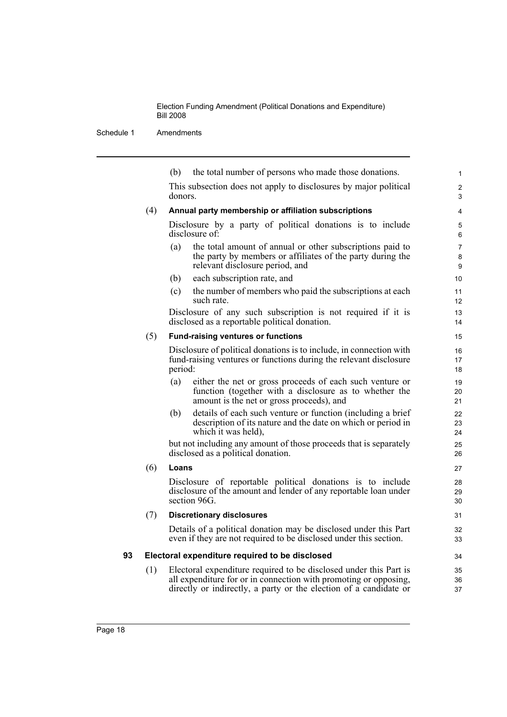|    |     | (b)     | the total number of persons who made those donations.                                                                                                                                                      | $\mathbf{1}$        |
|----|-----|---------|------------------------------------------------------------------------------------------------------------------------------------------------------------------------------------------------------------|---------------------|
|    |     | donors. | This subsection does not apply to disclosures by major political                                                                                                                                           | $\overline{2}$<br>3 |
|    | (4) |         | Annual party membership or affiliation subscriptions                                                                                                                                                       | 4                   |
|    |     |         | Disclosure by a party of political donations is to include<br>disclosure of                                                                                                                                | 5<br>6              |
|    |     | (a)     | the total amount of annual or other subscriptions paid to<br>the party by members or affiliates of the party during the<br>relevant disclosure period, and                                                 | 7<br>8<br>9         |
|    |     | (b)     | each subscription rate, and                                                                                                                                                                                | 10                  |
|    |     | (c)     | the number of members who paid the subscriptions at each<br>such rate.                                                                                                                                     | 11<br>12            |
|    |     |         | Disclosure of any such subscription is not required if it is<br>disclosed as a reportable political donation.                                                                                              | 13<br>14            |
|    | (5) |         | <b>Fund-raising ventures or functions</b>                                                                                                                                                                  | 15                  |
|    |     | period: | Disclosure of political donations is to include, in connection with<br>fund-raising ventures or functions during the relevant disclosure                                                                   | 16<br>17<br>18      |
|    |     | (a)     | either the net or gross proceeds of each such venture or<br>function (together with a disclosure as to whether the<br>amount is the net or gross proceeds), and                                            | 19<br>20<br>21      |
|    |     | (b)     | details of each such venture or function (including a brief<br>description of its nature and the date on which or period in<br>which it was held),                                                         | 22<br>23<br>24      |
|    |     |         | but not including any amount of those proceeds that is separately<br>disclosed as a political donation.                                                                                                    | 25<br>26            |
|    | (6) | Loans   |                                                                                                                                                                                                            | 27                  |
|    |     |         | Disclosure of reportable political donations is to include<br>disclosure of the amount and lender of any reportable loan under<br>section 96G.                                                             | 28<br>29<br>30      |
|    | (7) |         | <b>Discretionary disclosures</b>                                                                                                                                                                           | 31                  |
|    |     |         | Details of a political donation may be disclosed under this Part<br>even if they are not required to be disclosed under this section.                                                                      | 32<br>33            |
| 93 |     |         | Electoral expenditure required to be disclosed                                                                                                                                                             | 34                  |
|    | (1) |         | Electoral expenditure required to be disclosed under this Part is<br>all expenditure for or in connection with promoting or opposing,<br>directly or indirectly, a party or the election of a candidate or | 35<br>36<br>37      |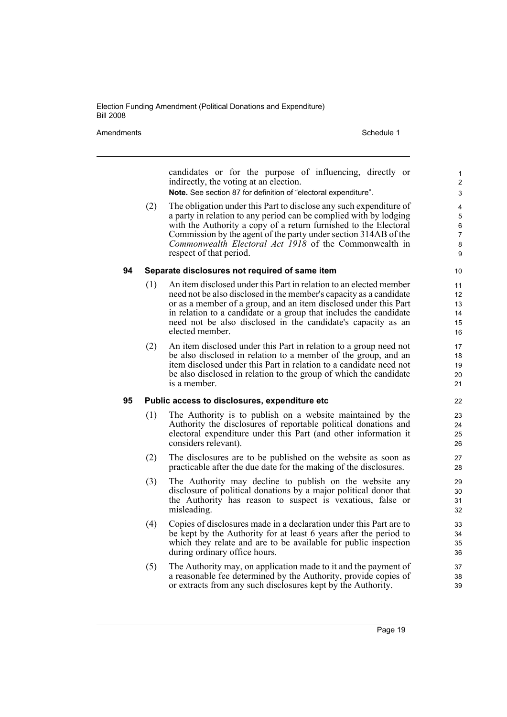Amendments **Schedule 1** Schedule 1

candidates or for the purpose of influencing, directly or indirectly, the voting at an election. **Note.** See section 87 for definition of "electoral expenditure".

(2) The obligation under this Part to disclose any such expenditure of a party in relation to any period can be complied with by lodging with the Authority a copy of a return furnished to the Electoral Commission by the agent of the party under section 314AB of the *Commonwealth Electoral Act 1918* of the Commonwealth in respect of that period.

### **94 Separate disclosures not required of same item**

- (1) An item disclosed under this Part in relation to an elected member need not be also disclosed in the member's capacity as a candidate or as a member of a group, and an item disclosed under this Part in relation to a candidate or a group that includes the candidate need not be also disclosed in the candidate's capacity as an elected member.
- (2) An item disclosed under this Part in relation to a group need not be also disclosed in relation to a member of the group, and an item disclosed under this Part in relation to a candidate need not be also disclosed in relation to the group of which the candidate is a member.

### **95 Public access to disclosures, expenditure etc**

- (1) The Authority is to publish on a website maintained by the Authority the disclosures of reportable political donations and electoral expenditure under this Part (and other information it considers relevant).
- (2) The disclosures are to be published on the website as soon as practicable after the due date for the making of the disclosures.
- (3) The Authority may decline to publish on the website any disclosure of political donations by a major political donor that the Authority has reason to suspect is vexatious, false or misleading.
- (4) Copies of disclosures made in a declaration under this Part are to be kept by the Authority for at least 6 years after the period to which they relate and are to be available for public inspection during ordinary office hours.
- (5) The Authority may, on application made to it and the payment of a reasonable fee determined by the Authority, provide copies of or extracts from any such disclosures kept by the Authority.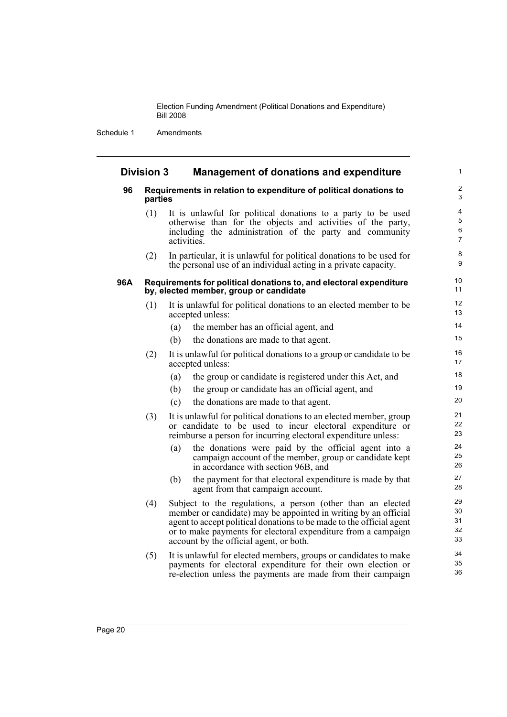Schedule 1 Amendments

### **Division 3 Management of donations and expenditure**

### **96 Requirements in relation to expenditure of political donations to parties**

(1) It is unlawful for political donations to a party to be used otherwise than for the objects and activities of the party, including the administration of the party and community activities.

(2) In particular, it is unlawful for political donations to be used for the personal use of an individual acting in a private capacity.

#### **96A Requirements for political donations to, and electoral expenditure by, elected member, group or candidate**

- (1) It is unlawful for political donations to an elected member to be accepted unless:
	- (a) the member has an official agent, and
	- (b) the donations are made to that agent.
- (2) It is unlawful for political donations to a group or candidate to be accepted unless:
	- (a) the group or candidate is registered under this Act, and
	- (b) the group or candidate has an official agent, and
	- (c) the donations are made to that agent.
- (3) It is unlawful for political donations to an elected member, group or candidate to be used to incur electoral expenditure or reimburse a person for incurring electoral expenditure unless:
	- (a) the donations were paid by the official agent into a campaign account of the member, group or candidate kept in accordance with section 96B, and
	- (b) the payment for that electoral expenditure is made by that agent from that campaign account.
- (4) Subject to the regulations, a person (other than an elected member or candidate) may be appointed in writing by an official agent to accept political donations to be made to the official agent or to make payments for electoral expenditure from a campaign account by the official agent, or both.
- (5) It is unlawful for elected members, groups or candidates to make payments for electoral expenditure for their own election or re-election unless the payments are made from their campaign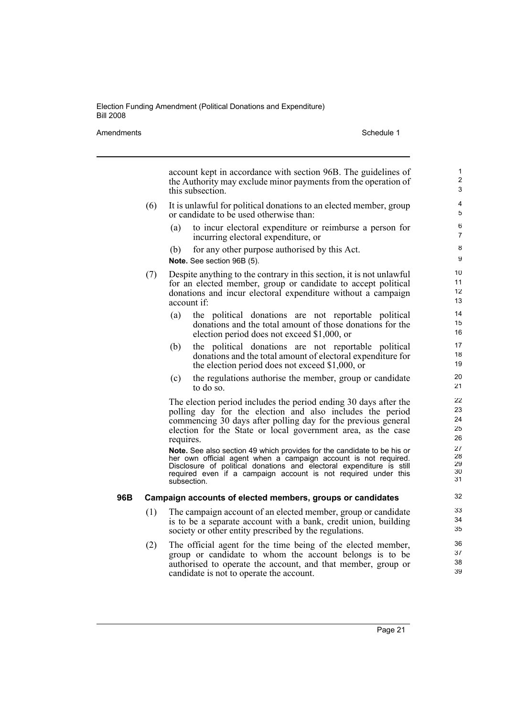Amendments **Schedule 1** Schedule 1

account kept in accordance with section 96B. The guidelines of the Authority may exclude minor payments from the operation of this subsection. (6) It is unlawful for political donations to an elected member, group or candidate to be used otherwise than: (a) to incur electoral expenditure or reimburse a person for incurring electoral expenditure, or (b) for any other purpose authorised by this Act. **Note.** See section 96B (5). (7) Despite anything to the contrary in this section, it is not unlawful for an elected member, group or candidate to accept political donations and incur electoral expenditure without a campaign account if: (a) the political donations are not reportable political donations and the total amount of those donations for the election period does not exceed \$1,000, or (b) the political donations are not reportable political donations and the total amount of electoral expenditure for the election period does not exceed \$1,000, or (c) the regulations authorise the member, group or candidate to do so. The election period includes the period ending 30 days after the polling day for the election and also includes the period commencing 30 days after polling day for the previous general election for the State or local government area, as the case requires. **Note.** See also section 49 which provides for the candidate to be his or her own official agent when a campaign account is not required. Disclosure of political donations and electoral expenditure is still required even if a campaign account is not required under this subsection. **96B Campaign accounts of elected members, groups or candidates** (1) The campaign account of an elected member, group or candidate is to be a separate account with a bank, credit union, building society or other entity prescribed by the regulations. (2) The official agent for the time being of the elected member, 1 2 3 4 5 6 7 8 9 10 11 12 13 14 15 16 17 18 19 20 21 22 23 24 25 26 27 28 29 30 31 32 33 34 35 36 37

group or candidate to whom the account belongs is to be authorised to operate the account, and that member, group or candidate is not to operate the account.

Page 21

38 39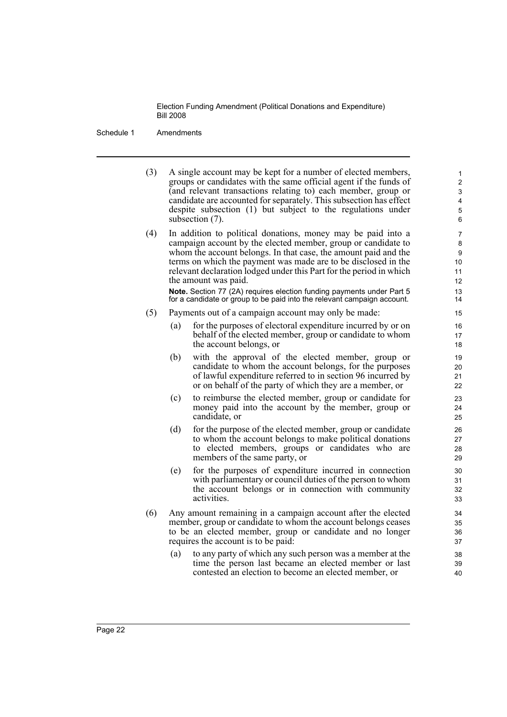Schedule 1 Amendments

(3) A single account may be kept for a number of elected members, groups or candidates with the same official agent if the funds of (and relevant transactions relating to) each member, group or candidate are accounted for separately. This subsection has effect despite subsection (1) but subject to the regulations under subsection (7).

(4) In addition to political donations, money may be paid into a campaign account by the elected member, group or candidate to whom the account belongs. In that case, the amount paid and the terms on which the payment was made are to be disclosed in the relevant declaration lodged under this Part for the period in which the amount was paid.

**Note.** Section 77 (2A) requires election funding payments under Part 5 for a candidate or group to be paid into the relevant campaign account.

- (5) Payments out of a campaign account may only be made:
	- (a) for the purposes of electoral expenditure incurred by or on behalf of the elected member, group or candidate to whom the account belongs, or
	- (b) with the approval of the elected member, group or candidate to whom the account belongs, for the purposes of lawful expenditure referred to in section 96 incurred by or on behalf of the party of which they are a member, or
	- (c) to reimburse the elected member, group or candidate for money paid into the account by the member, group or candidate, or
	- (d) for the purpose of the elected member, group or candidate to whom the account belongs to make political donations to elected members, groups or candidates who are members of the same party, or
	- (e) for the purposes of expenditure incurred in connection with parliamentary or council duties of the person to whom the account belongs or in connection with community activities.
- (6) Any amount remaining in a campaign account after the elected member, group or candidate to whom the account belongs ceases to be an elected member, group or candidate and no longer requires the account is to be paid:
	- (a) to any party of which any such person was a member at the time the person last became an elected member or last contested an election to become an elected member, or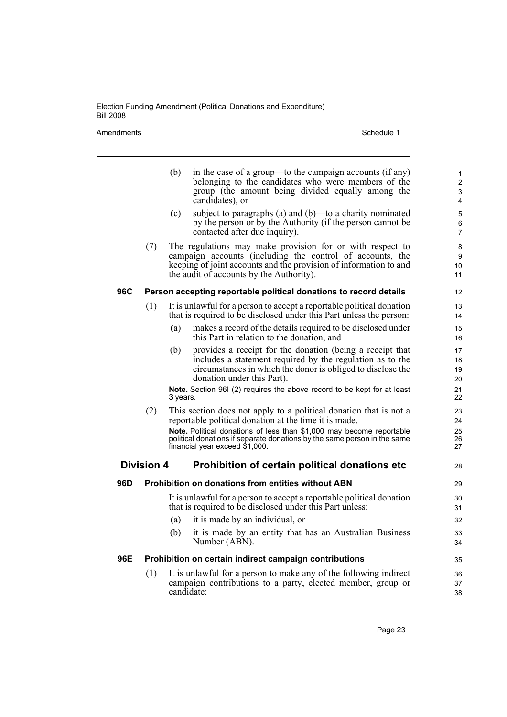Amendments Schedule 1

|     |                   | (b)      | in the case of a group—to the campaign accounts (if any)<br>belonging to the candidates who were members of the<br>group (the amount being divided equally among the<br>candidates), or                                                 | 1<br>$\overline{\mathbf{c}}$<br>3<br>4 |
|-----|-------------------|----------|-----------------------------------------------------------------------------------------------------------------------------------------------------------------------------------------------------------------------------------------|----------------------------------------|
|     |                   | (c)      | subject to paragraphs (a) and (b)—to a charity nominated<br>by the person or by the Authority (if the person cannot be<br>contacted after due inquiry).                                                                                 | 5<br>6<br>7                            |
|     | (7)               |          | The regulations may make provision for or with respect to<br>campaign accounts (including the control of accounts, the<br>keeping of joint accounts and the provision of information to and<br>the audit of accounts by the Authority). | 8<br>9<br>10<br>11                     |
| 96C |                   |          | Person accepting reportable political donations to record details                                                                                                                                                                       | 12                                     |
|     | (1)               |          | It is unlawful for a person to accept a reportable political donation<br>that is required to be disclosed under this Part unless the person:                                                                                            | 13<br>14                               |
|     |                   | (a)      | makes a record of the details required to be disclosed under<br>this Part in relation to the donation, and                                                                                                                              | 15<br>16                               |
|     |                   | (b)      | provides a receipt for the donation (being a receipt that<br>includes a statement required by the regulation as to the<br>circumstances in which the donor is obliged to disclose the<br>donation under this Part).                     | 17<br>18<br>19<br>20                   |
|     |                   | 3 years. | Note. Section 96I (2) requires the above record to be kept for at least                                                                                                                                                                 | 21<br>22                               |
|     | (2)               |          | This section does not apply to a political donation that is not a<br>reportable political donation at the time it is made.                                                                                                              | 23<br>24                               |
|     |                   |          | Note. Political donations of less than \$1,000 may become reportable<br>political donations if separate donations by the same person in the same<br>financial year exceed \$1,000.                                                      | 25<br>26<br>27                         |
|     | <b>Division 4</b> |          | Prohibition of certain political donations etc                                                                                                                                                                                          | 28                                     |
| 96D |                   |          | <b>Prohibition on donations from entities without ABN</b>                                                                                                                                                                               | 29                                     |
|     |                   |          | It is unlawful for a person to accept a reportable political donation<br>that is required to be disclosed under this Part unless:                                                                                                       | 30<br>31                               |
|     |                   | (a)      | it is made by an individual, or                                                                                                                                                                                                         | 32                                     |
|     |                   | (b)      | it is made by an entity that has an Australian Business<br>Number (ABN).                                                                                                                                                                | 33<br>34                               |
| 96E |                   |          | Prohibition on certain indirect campaign contributions                                                                                                                                                                                  | 35                                     |
|     | (1)               |          | It is unlawful for a person to make any of the following indirect<br>campaign contributions to a party, elected member, group or<br>candidate:                                                                                          | 36<br>37<br>38                         |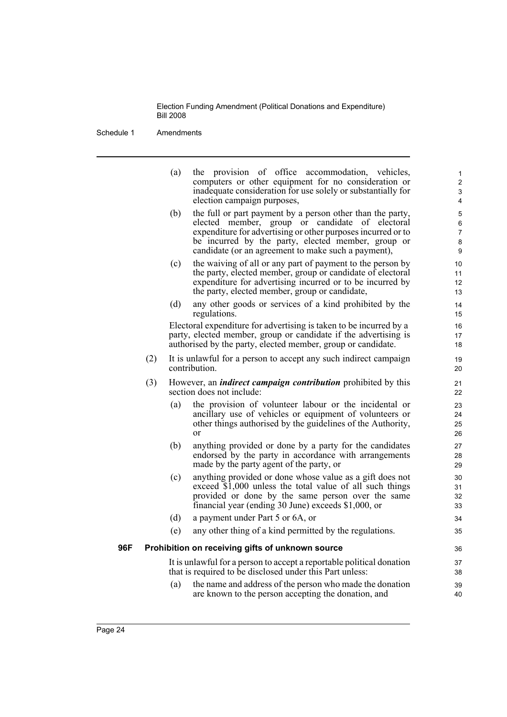|     |     | (a) | provision of office accommodation, vehicles,<br>the<br>computers or other equipment for no consideration or<br>inadequate consideration for use solely or substantially for<br>election campaign purposes,                                                                                 | $\mathbf{1}$<br>2<br>3<br>4 |
|-----|-----|-----|--------------------------------------------------------------------------------------------------------------------------------------------------------------------------------------------------------------------------------------------------------------------------------------------|-----------------------------|
|     |     | (b) | the full or part payment by a person other than the party,<br>elected member, group or candidate of electoral<br>expenditure for advertising or other purposes incurred or to<br>be incurred by the party, elected member, group or<br>candidate (or an agreement to make such a payment), | 5<br>6<br>7<br>8<br>9       |
|     |     | (c) | the waiving of all or any part of payment to the person by<br>the party, elected member, group or candidate of electoral<br>expenditure for advertising incurred or to be incurred by<br>the party, elected member, group or candidate,                                                    | 10<br>11<br>12<br>13        |
|     |     | (d) | any other goods or services of a kind prohibited by the<br>regulations.                                                                                                                                                                                                                    | 14<br>15                    |
|     |     |     | Electoral expenditure for advertising is taken to be incurred by a<br>party, elected member, group or candidate if the advertising is<br>authorised by the party, elected member, group or candidate.                                                                                      | 16<br>17<br>18              |
|     | (2) |     | It is unlawful for a person to accept any such indirect campaign<br>contribution.                                                                                                                                                                                                          | 19<br>20                    |
|     | (3) |     | However, an <i>indirect campaign contribution</i> prohibited by this<br>section does not include:                                                                                                                                                                                          | 21<br>22                    |
|     |     | (a) | the provision of volunteer labour or the incidental or<br>ancillary use of vehicles or equipment of volunteers or<br>other things authorised by the guidelines of the Authority,<br>$\alpha$ r                                                                                             | 23<br>24<br>25<br>26        |
|     |     | (b) | anything provided or done by a party for the candidates<br>endorsed by the party in accordance with arrangements<br>made by the party agent of the party, or                                                                                                                               | 27<br>28<br>29              |
|     |     | (c) | anything provided or done whose value as a gift does not<br>exceed $\overline{\$1,000}$ unless the total value of all such things<br>provided or done by the same person over the same<br>financial year (ending 30 June) exceeds \$1,000, or                                              | 30<br>31<br>32<br>33        |
|     |     | (d) | a payment under Part 5 or 6A, or                                                                                                                                                                                                                                                           | 34                          |
|     |     | (e) | any other thing of a kind permitted by the regulations.                                                                                                                                                                                                                                    | 35                          |
| 96F |     |     | Prohibition on receiving gifts of unknown source                                                                                                                                                                                                                                           | 36                          |
|     |     |     | It is unlawful for a person to accept a reportable political donation<br>that is required to be disclosed under this Part unless:                                                                                                                                                          | 37<br>38                    |
|     |     | (a) | the name and address of the person who made the donation<br>are known to the person accepting the donation, and                                                                                                                                                                            | 39<br>40                    |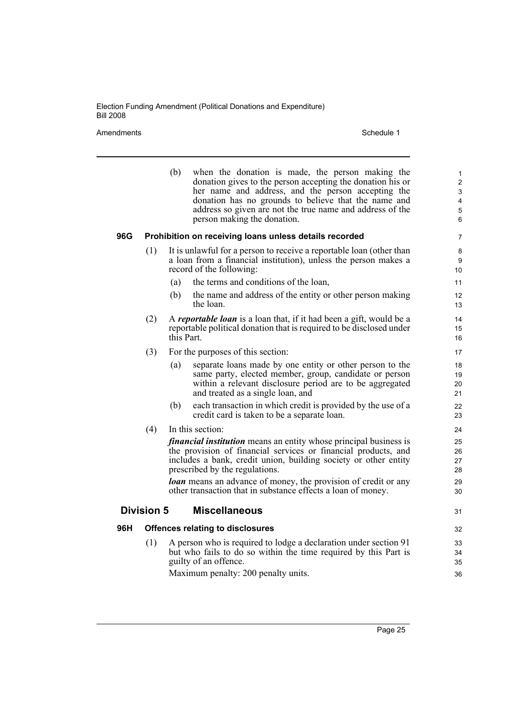Amendments Schedule 1

|     |                   | (b)        | when the donation is made, the person making the<br>donation gives to the person accepting the donation his or<br>her name and address, and the person accepting the<br>donation has no grounds to believe that the name and<br>address so given are not the true name and address of the<br>person making the donation.                                                                        | $\mathbf{1}$<br>$\overline{c}$<br>$\ensuremath{\mathsf{3}}$<br>$\overline{4}$<br>$\mathbf 5$<br>6 |
|-----|-------------------|------------|-------------------------------------------------------------------------------------------------------------------------------------------------------------------------------------------------------------------------------------------------------------------------------------------------------------------------------------------------------------------------------------------------|---------------------------------------------------------------------------------------------------|
| 96G |                   |            | Prohibition on receiving loans unless details recorded                                                                                                                                                                                                                                                                                                                                          | $\overline{7}$                                                                                    |
|     | (1)               |            | It is unlawful for a person to receive a reportable loan (other than<br>a loan from a financial institution), unless the person makes a<br>record of the following:                                                                                                                                                                                                                             | 8<br>9<br>10 <sup>°</sup>                                                                         |
|     |                   | (a)        | the terms and conditions of the loan,                                                                                                                                                                                                                                                                                                                                                           | 11                                                                                                |
|     |                   | (b)        | the name and address of the entity or other person making<br>the loan.                                                                                                                                                                                                                                                                                                                          | 12<br>13                                                                                          |
|     | (2)               | this Part. | A reportable loan is a loan that, if it had been a gift, would be a<br>reportable political donation that is required to be disclosed under                                                                                                                                                                                                                                                     | 14<br>15<br>16                                                                                    |
|     | (3)               |            | For the purposes of this section:                                                                                                                                                                                                                                                                                                                                                               | 17                                                                                                |
|     |                   | (a)        | separate loans made by one entity or other person to the<br>same party, elected member, group, candidate or person<br>within a relevant disclosure period are to be aggregated<br>and treated as a single loan, and                                                                                                                                                                             | 18<br>19<br>20<br>21                                                                              |
|     |                   | (b)        | each transaction in which credit is provided by the use of a<br>credit card is taken to be a separate loan.                                                                                                                                                                                                                                                                                     | 22<br>23                                                                                          |
|     | (4)               |            | In this section:                                                                                                                                                                                                                                                                                                                                                                                | 24                                                                                                |
|     |                   |            | <i>financial institution</i> means an entity whose principal business is<br>the provision of financial services or financial products, and<br>includes a bank, credit union, building society or other entity<br>prescribed by the regulations.<br><b><i>loan</i></b> means an advance of money, the provision of credit or any<br>other transaction that in substance effects a loan of money. | 25<br>26<br>27<br>28<br>29<br>30                                                                  |
|     | <b>Division 5</b> |            | <b>Miscellaneous</b>                                                                                                                                                                                                                                                                                                                                                                            | 31                                                                                                |
| 96H |                   |            | <b>Offences relating to disclosures</b>                                                                                                                                                                                                                                                                                                                                                         | 32                                                                                                |
|     | (1)               |            | A person who is required to lodge a declaration under section 91<br>but who fails to do so within the time required by this Part is<br>guilty of an offence.<br>Maximum penalty: 200 penalty units.                                                                                                                                                                                             | 33<br>34<br>35<br>36                                                                              |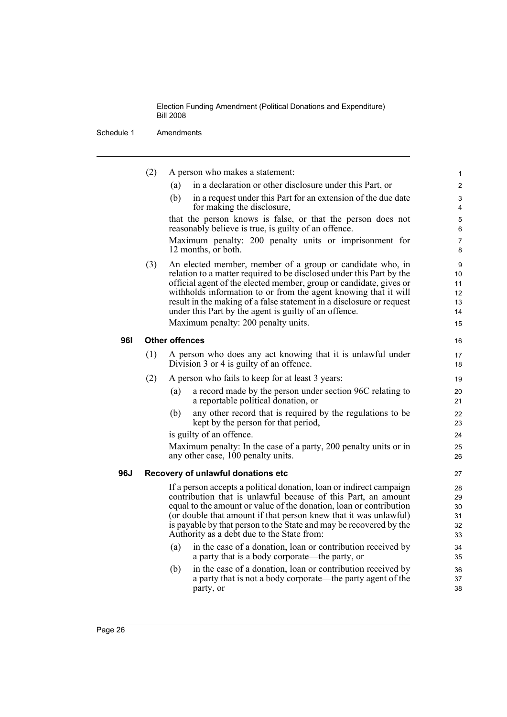|            | (2) | A person who makes a statement:                                                                                                                                                                                                                                                                                                                                                                                                                    | 1                                     |
|------------|-----|----------------------------------------------------------------------------------------------------------------------------------------------------------------------------------------------------------------------------------------------------------------------------------------------------------------------------------------------------------------------------------------------------------------------------------------------------|---------------------------------------|
|            |     | in a declaration or other disclosure under this Part, or<br>(a)                                                                                                                                                                                                                                                                                                                                                                                    | $\overline{2}$                        |
|            |     | in a request under this Part for an extension of the due date<br>(b)<br>for making the disclosure,                                                                                                                                                                                                                                                                                                                                                 | 3<br>4                                |
|            |     | that the person knows is false, or that the person does not<br>reasonably believe is true, is guilty of an offence.                                                                                                                                                                                                                                                                                                                                | 5<br>6                                |
|            |     | Maximum penalty: 200 penalty units or imprisonment for<br>12 months, or both.                                                                                                                                                                                                                                                                                                                                                                      | $\overline{7}$<br>8                   |
|            | (3) | An elected member, member of a group or candidate who, in<br>relation to a matter required to be disclosed under this Part by the<br>official agent of the elected member, group or candidate, gives or<br>withholds information to or from the agent knowing that it will<br>result in the making of a false statement in a disclosure or request<br>under this Part by the agent is guilty of an offence.<br>Maximum penalty: 200 penalty units. | 9<br>10<br>11<br>12<br>13<br>14<br>15 |
| <b>961</b> |     | <b>Other offences</b>                                                                                                                                                                                                                                                                                                                                                                                                                              | 16                                    |
|            | (1) | A person who does any act knowing that it is unlawful under<br>Division 3 or 4 is guilty of an offence.                                                                                                                                                                                                                                                                                                                                            | 17<br>18                              |
|            | (2) | A person who fails to keep for at least 3 years:                                                                                                                                                                                                                                                                                                                                                                                                   | 19                                    |
|            |     | a record made by the person under section 96C relating to<br>(a)<br>a reportable political donation, or                                                                                                                                                                                                                                                                                                                                            | 20<br>21                              |
|            |     | any other record that is required by the regulations to be<br>(b)<br>kept by the person for that period,                                                                                                                                                                                                                                                                                                                                           | 22<br>23                              |
|            |     | is guilty of an offence.                                                                                                                                                                                                                                                                                                                                                                                                                           | 24                                    |
|            |     | Maximum penalty: In the case of a party, 200 penalty units or in<br>any other case, 100 penalty units.                                                                                                                                                                                                                                                                                                                                             | 25<br>26                              |
| 96J        |     | Recovery of unlawful donations etc                                                                                                                                                                                                                                                                                                                                                                                                                 | 27                                    |
|            |     | If a person accepts a political donation, loan or indirect campaign<br>contribution that is unlawful because of this Part, an amount<br>equal to the amount or value of the donation, loan or contribution<br>(or double that amount if that person knew that it was unlawful)<br>is payable by that person to the State and may be recovered by the<br>Authority as a debt due to the State from:                                                 | 28<br>29<br>30<br>31<br>32<br>33      |
|            |     | in the case of a donation, loan or contribution received by<br>(a)<br>a party that is a body corporate—the party, or                                                                                                                                                                                                                                                                                                                               | 34<br>35                              |
|            |     | in the case of a donation, loan or contribution received by<br>(b)<br>a party that is not a body corporate—the party agent of the<br>party, or                                                                                                                                                                                                                                                                                                     | 36<br>37<br>38                        |
|            |     |                                                                                                                                                                                                                                                                                                                                                                                                                                                    |                                       |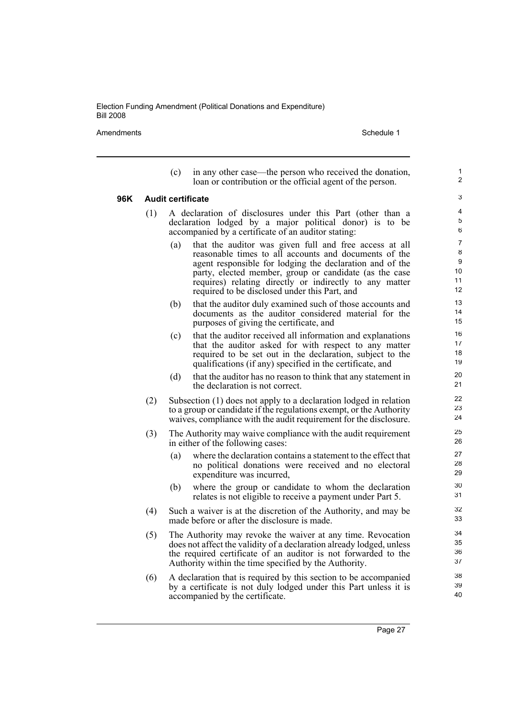Amendments **Amendments** Schedule 1

1 2

- (c) in any other case—the person who received the donation, loan or contribution or the official agent of the person. **96K Audit certificate** (1) A declaration of disclosures under this Part (other than a declaration lodged by a major political donor) is to be accompanied by a certificate of an auditor stating: (a) that the auditor was given full and free access at all reasonable times to all accounts and documents of the agent responsible for lodging the declaration and of the party, elected member, group or candidate (as the case requires) relating directly or indirectly to any matter required to be disclosed under this Part, and (b) that the auditor duly examined such of those accounts and documents as the auditor considered material for the purposes of giving the certificate, and (c) that the auditor received all information and explanations that the auditor asked for with respect to any matter required to be set out in the declaration, subject to the qualifications (if any) specified in the certificate, and (d) that the auditor has no reason to think that any statement in
	- the declaration is not correct.
	- (2) Subsection (1) does not apply to a declaration lodged in relation to a group or candidate if the regulations exempt, or the Authority waives, compliance with the audit requirement for the disclosure.
	- (3) The Authority may waive compliance with the audit requirement in either of the following cases:
		- (a) where the declaration contains a statement to the effect that no political donations were received and no electoral expenditure was incurred,
		- (b) where the group or candidate to whom the declaration relates is not eligible to receive a payment under Part 5.
	- (4) Such a waiver is at the discretion of the Authority, and may be made before or after the disclosure is made.
	- (5) The Authority may revoke the waiver at any time. Revocation does not affect the validity of a declaration already lodged, unless the required certificate of an auditor is not forwarded to the Authority within the time specified by the Authority.
	- (6) A declaration that is required by this section to be accompanied by a certificate is not duly lodged under this Part unless it is accompanied by the certificate.

Page 27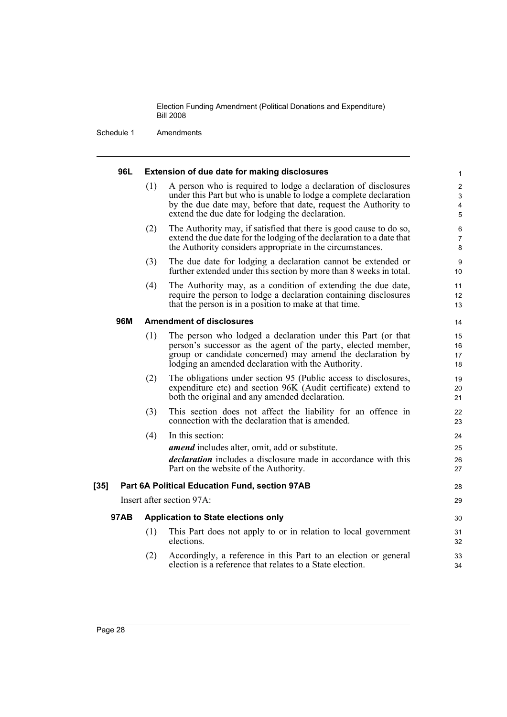| 96L.        |     | Extension of due date for making disclosures                                                                                                                                                                                                               | 1                             |
|-------------|-----|------------------------------------------------------------------------------------------------------------------------------------------------------------------------------------------------------------------------------------------------------------|-------------------------------|
|             | (1) | A person who is required to lodge a declaration of disclosures<br>under this Part but who is unable to lodge a complete declaration<br>by the due date may, before that date, request the Authority to<br>extend the due date for lodging the declaration. | $\overline{c}$<br>3<br>4<br>5 |
|             | (2) | The Authority may, if satisfied that there is good cause to do so,<br>extend the due date for the lodging of the declaration to a date that<br>the Authority considers appropriate in the circumstances.                                                   | 6<br>7<br>8                   |
|             | (3) | The due date for lodging a declaration cannot be extended or<br>further extended under this section by more than 8 weeks in total.                                                                                                                         | 9<br>10                       |
|             | (4) | The Authority may, as a condition of extending the due date,<br>require the person to lodge a declaration containing disclosures<br>that the person is in a position to make at that time.                                                                 | 11<br>12<br>13                |
| 96M         |     | <b>Amendment of disclosures</b>                                                                                                                                                                                                                            | 14                            |
|             | (1) | The person who lodged a declaration under this Part (or that<br>person's successor as the agent of the party, elected member,<br>group or candidate concerned) may amend the declaration by<br>lodging an amended declaration with the Authority.          | 15<br>16<br>17<br>18          |
|             | (2) | The obligations under section 95 (Public access to disclosures,<br>expenditure etc) and section 96K (Audit certificate) extend to<br>both the original and any amended declaration.                                                                        | 19<br>20<br>21                |
|             | (3) | This section does not affect the liability for an offence in<br>connection with the declaration that is amended.                                                                                                                                           | 22<br>23                      |
|             | (4) | In this section:<br><i>amend</i> includes alter, omit, add or substitute.<br>declaration includes a disclosure made in accordance with this<br>Part on the website of the Authority.                                                                       | 24<br>25<br>26<br>27          |
| [35]        |     | Part 6A Political Education Fund, section 97AB                                                                                                                                                                                                             | 28                            |
|             |     | Insert after section 97A:                                                                                                                                                                                                                                  | 29                            |
| <b>97AB</b> |     | <b>Application to State elections only</b>                                                                                                                                                                                                                 | 30                            |
|             | (1) | This Part does not apply to or in relation to local government<br>elections.                                                                                                                                                                               | 31<br>32                      |
|             | (2) | Accordingly, a reference in this Part to an election or general<br>election is a reference that relates to a State election.                                                                                                                               | 33<br>34                      |
|             |     |                                                                                                                                                                                                                                                            |                               |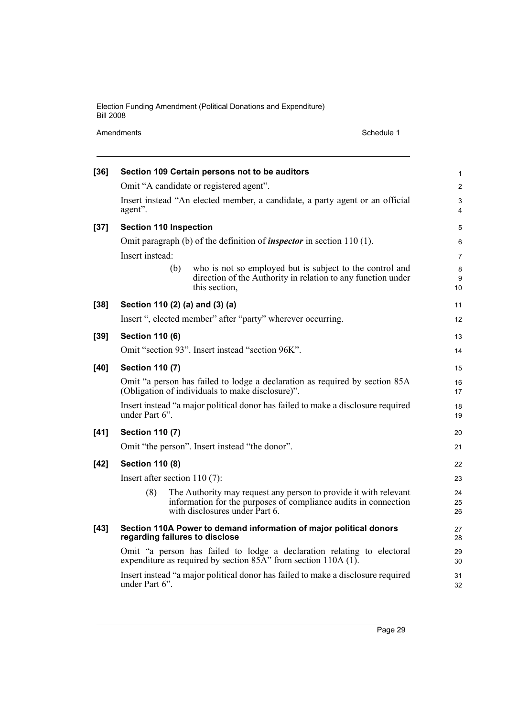Amendments Schedule 1

| $[36]$ |                                 | Section 109 Certain persons not to be auditors                                                                                                                        | $\mathbf{1}$        |  |  |  |
|--------|---------------------------------|-----------------------------------------------------------------------------------------------------------------------------------------------------------------------|---------------------|--|--|--|
|        |                                 | Omit "A candidate or registered agent".                                                                                                                               | $\overline{2}$      |  |  |  |
|        | agent".                         | Insert instead "An elected member, a candidate, a party agent or an official                                                                                          | 3<br>$\overline{4}$ |  |  |  |
| $[37]$ | <b>Section 110 Inspection</b>   |                                                                                                                                                                       | 5                   |  |  |  |
|        |                                 | Omit paragraph (b) of the definition of <i>inspector</i> in section $110(1)$ .                                                                                        | 6                   |  |  |  |
|        | Insert instead:                 |                                                                                                                                                                       | $\overline{7}$      |  |  |  |
|        |                                 | who is not so employed but is subject to the control and<br>(b)<br>direction of the Authority in relation to any function under<br>this section,                      | 8<br>9<br>10        |  |  |  |
| $[38]$ |                                 | Section 110 (2) (a) and (3) (a)                                                                                                                                       | 11                  |  |  |  |
|        |                                 | Insert ", elected member" after "party" wherever occurring.                                                                                                           | 12                  |  |  |  |
| $[39]$ | <b>Section 110 (6)</b>          |                                                                                                                                                                       | 13                  |  |  |  |
|        |                                 | Omit "section 93". Insert instead "section 96K".                                                                                                                      | 14                  |  |  |  |
| $[40]$ | <b>Section 110 (7)</b>          |                                                                                                                                                                       | 15                  |  |  |  |
|        |                                 | Omit "a person has failed to lodge a declaration as required by section 85A<br>(Obligation of individuals to make disclosure)".                                       | 16<br>17            |  |  |  |
|        | under Part 6".                  | Insert instead "a major political donor has failed to make a disclosure required                                                                                      | 18<br>19            |  |  |  |
| $[41]$ | <b>Section 110 (7)</b>          |                                                                                                                                                                       | 20                  |  |  |  |
|        |                                 | Omit "the person". Insert instead "the donor".                                                                                                                        | 21                  |  |  |  |
| $[42]$ | <b>Section 110 (8)</b>          |                                                                                                                                                                       | 22                  |  |  |  |
|        | Insert after section $110(7)$ : |                                                                                                                                                                       |                     |  |  |  |
|        | (8)                             | The Authority may request any person to provide it with relevant<br>information for the purposes of compliance audits in connection<br>with disclosures under Part 6. | 24<br>25<br>26      |  |  |  |
| $[43]$ |                                 | Section 110A Power to demand information of major political donors<br>regarding failures to disclose                                                                  | 27<br>28            |  |  |  |
|        |                                 | Omit "a person has failed to lodge a declaration relating to electoral<br>expenditure as required by section 85A" from section 110A (1).                              | 29<br>30            |  |  |  |
|        | under Part 6".                  | Insert instead "a major political donor has failed to make a disclosure required                                                                                      | 31<br>32            |  |  |  |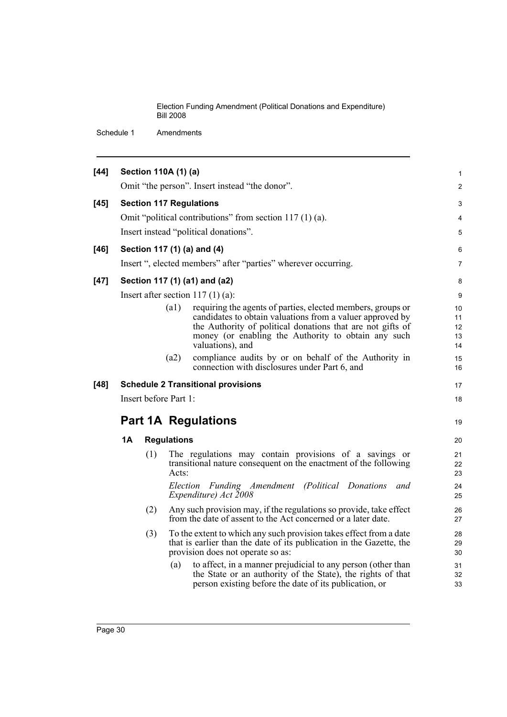| $[44]$ |                                | Section 110A (1) (a)  |                    |                                                                                                                                                                                       | 1               |  |
|--------|--------------------------------|-----------------------|--------------------|---------------------------------------------------------------------------------------------------------------------------------------------------------------------------------------|-----------------|--|
|        |                                |                       |                    | Omit "the person". Insert instead "the donor".                                                                                                                                        | $\overline{2}$  |  |
| $[45]$ | <b>Section 117 Regulations</b> |                       |                    |                                                                                                                                                                                       |                 |  |
|        |                                |                       |                    | Omit "political contributions" from section $117(1)(a)$ .                                                                                                                             | 3<br>4          |  |
|        |                                |                       |                    | Insert instead "political donations".                                                                                                                                                 | 5               |  |
|        |                                |                       |                    |                                                                                                                                                                                       |                 |  |
| $[46]$ |                                |                       |                    | Section 117 (1) (a) and (4)<br>Insert ", elected members" after "parties" wherever occurring.                                                                                         | 6               |  |
|        |                                |                       |                    |                                                                                                                                                                                       | $\overline{7}$  |  |
| $[47]$ |                                |                       |                    | Section 117 (1) (a1) and (a2)                                                                                                                                                         | 8               |  |
|        |                                |                       |                    | Insert after section $117(1)(a)$ :                                                                                                                                                    | 9               |  |
|        |                                |                       | (a1)               | requiring the agents of parties, elected members, groups or                                                                                                                           | 10 <sup>°</sup> |  |
|        |                                |                       |                    | candidates to obtain valuations from a valuer approved by<br>the Authority of political donations that are not gifts of                                                               | 11<br>12        |  |
|        |                                |                       |                    | money (or enabling the Authority to obtain any such                                                                                                                                   | 13              |  |
|        |                                |                       |                    | valuations), and                                                                                                                                                                      | 14              |  |
|        |                                |                       | (a2)               | compliance audits by or on behalf of the Authority in                                                                                                                                 | 15              |  |
|        |                                |                       |                    | connection with disclosures under Part 6, and                                                                                                                                         | 16              |  |
| [48]   |                                |                       |                    | <b>Schedule 2 Transitional provisions</b>                                                                                                                                             | 17              |  |
|        |                                | Insert before Part 1: |                    |                                                                                                                                                                                       | 18              |  |
|        |                                |                       |                    | <b>Part 1A Regulations</b>                                                                                                                                                            | 19              |  |
|        | <b>1A</b>                      |                       | <b>Regulations</b> |                                                                                                                                                                                       | 20              |  |
|        |                                | (1)                   | Acts:              | The regulations may contain provisions of a savings or<br>transitional nature consequent on the enactment of the following                                                            | 21<br>22<br>23  |  |
|        |                                |                       |                    | Election Funding Amendment (Political Donations and<br>Expenditure) Act 2008                                                                                                          | 24<br>25        |  |
|        |                                | (2)                   |                    | Any such provision may, if the regulations so provide, take effect<br>from the date of assent to the Act concerned or a later date.                                                   | 26<br>27        |  |
|        |                                | (3)                   |                    | To the extent to which any such provision takes effect from a date<br>that is earlier than the date of its publication in the Gazette, the<br>provision does not operate so as:       | 28<br>29<br>30  |  |
|        |                                |                       | (a)                | to affect, in a manner prejudicial to any person (other than<br>the State or an authority of the State), the rights of that<br>person existing before the date of its publication, or | 31<br>32<br>33  |  |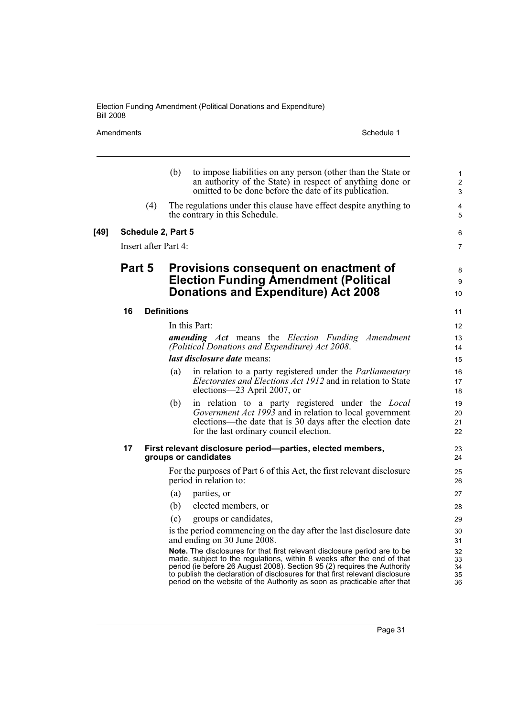Amendments Schedule 1

**[49]** 

|                                                 |                      | (b)                | to impose liabilities on any person (other than the State or<br>an authority of the State) in respect of anything done or<br>omitted to be done before the date of its publication. | 1<br>$\overline{2}$<br>3 |
|-------------------------------------------------|----------------------|--------------------|-------------------------------------------------------------------------------------------------------------------------------------------------------------------------------------|--------------------------|
|                                                 | (4)                  |                    | The regulations under this clause have effect despite anything to<br>the contrary in this Schedule.                                                                                 | 4<br>5                   |
|                                                 | Schedule 2, Part 5   |                    |                                                                                                                                                                                     | 6                        |
|                                                 | Insert after Part 4: |                    |                                                                                                                                                                                     | $\overline{7}$           |
|                                                 |                      |                    |                                                                                                                                                                                     |                          |
| Part 5<br>Provisions consequent on enactment of |                      |                    | 8                                                                                                                                                                                   |                          |
|                                                 |                      |                    | <b>Election Funding Amendment (Political</b>                                                                                                                                        | 9                        |
|                                                 |                      |                    | <b>Donations and Expenditure) Act 2008</b>                                                                                                                                          | 10                       |
| 16                                              |                      | <b>Definitions</b> |                                                                                                                                                                                     | 11                       |
|                                                 |                      |                    | In this Part:                                                                                                                                                                       | $12 \overline{ }$        |
|                                                 |                      |                    | <b>amending Act</b> means the Election Funding Amendment                                                                                                                            | 13                       |
|                                                 |                      |                    | (Political Donations and Expenditure) Act 2008.                                                                                                                                     | 14                       |
|                                                 |                      |                    | last disclosure date means:                                                                                                                                                         | 15                       |
|                                                 |                      | (a)                | in relation to a party registered under the <i>Parliamentary</i><br>Electorates and Elections Act 1912 and in relation to State                                                     | 16<br>17                 |
|                                                 |                      |                    | elections-23 April 2007, or                                                                                                                                                         | 18                       |
|                                                 |                      | (b)                | in relation to a party registered under the <i>Local</i>                                                                                                                            | 19                       |
|                                                 |                      |                    | Government Act 1993 and in relation to local government                                                                                                                             | 20                       |
|                                                 |                      |                    | elections—the date that is 30 days after the election date<br>for the last ordinary council election.                                                                               | 21<br>22                 |
|                                                 |                      |                    |                                                                                                                                                                                     |                          |
| 17                                              |                      |                    | First relevant disclosure period-parties, elected members,<br>groups or candidates                                                                                                  | 23<br>24                 |
|                                                 |                      |                    | For the purposes of Part 6 of this Act, the first relevant disclosure<br>period in relation to:                                                                                     | 25<br>26                 |
|                                                 |                      | (a)                | parties, or                                                                                                                                                                         | 27                       |
|                                                 |                      | (b)                | elected members, or                                                                                                                                                                 | 28                       |
|                                                 |                      | (c)                | groups or candidates,                                                                                                                                                               | 29                       |
|                                                 |                      |                    | is the period commencing on the day after the last disclosure date<br>and ending on 30 June 2008.                                                                                   | 30<br>31                 |
|                                                 |                      |                    | Note. The disclosures for that first relevant disclosure period are to be                                                                                                           | 32                       |
|                                                 |                      |                    | made, subject to the regulations, within 8 weeks after the end of that<br>period (ie before 26 August 2008). Section 95 (2) requires the Authority                                  | 33<br>34                 |
|                                                 |                      |                    | to publish the declaration of disclosures for that first relevant disclosure<br>period on the website of the Authority as soon as practicable after that                            | 35<br>36                 |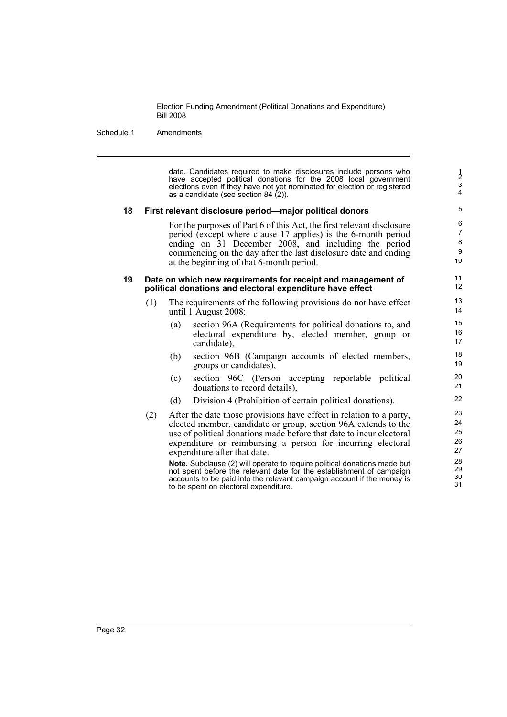#### Schedule 1 Amendments

date. Candidates required to make disclosures include persons who have accepted political donations for the 2008 local government elections even if they have not yet nominated for election or registered as a candidate (see section 84 (2)).

#### **18 First relevant disclosure period—major political donors**

For the purposes of Part 6 of this Act, the first relevant disclosure period (except where clause 17 applies) is the 6-month period ending on 31 December 2008, and including the period commencing on the day after the last disclosure date and ending at the beginning of that 6-month period.

#### **19 Date on which new requirements for receipt and management of political donations and electoral expenditure have effect**

- (1) The requirements of the following provisions do not have effect until 1 August 2008:
	- (a) section 96A (Requirements for political donations to, and electoral expenditure by, elected member, group or candidate),
	- (b) section 96B (Campaign accounts of elected members, groups or candidates),
	- (c) section 96C (Person accepting reportable political donations to record details),
	- (d) Division 4 (Prohibition of certain political donations).
- (2) After the date those provisions have effect in relation to a party, elected member, candidate or group, section 96A extends to the use of political donations made before that date to incur electoral expenditure or reimbursing a person for incurring electoral expenditure after that date.

**Note.** Subclause (2) will operate to require political donations made but not spent before the relevant date for the establishment of campaign accounts to be paid into the relevant campaign account if the money is to be spent on electoral expenditure.